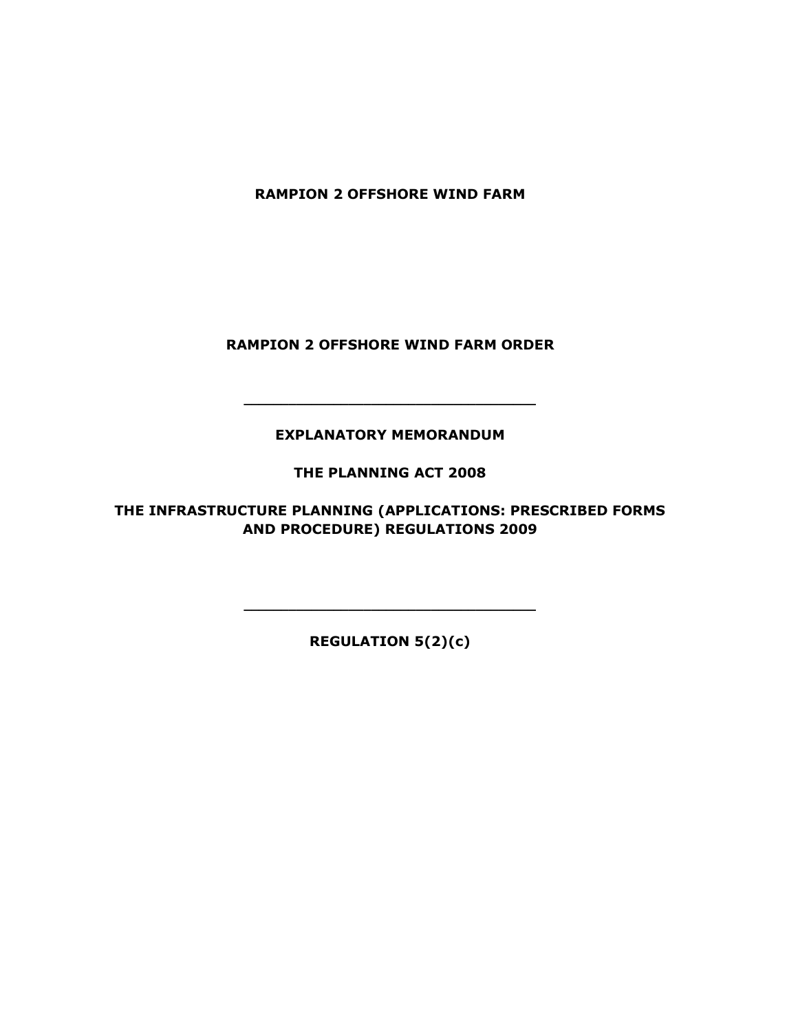RAMPION 2 OFFSHORE WIND FARM

RAMPION 2 OFFSHORE WIND FARM ORDER

EXPLANATORY MEMORANDUM

\_\_\_\_\_\_\_\_\_\_\_\_\_\_\_\_\_\_\_\_\_\_\_\_\_\_\_\_\_\_\_\_\_\_\_\_\_\_\_

THE PLANNING ACT 2008

THE INFRASTRUCTURE PLANNING (APPLICATIONS: PRESCRIBED FORMS AND PROCEDURE) REGULATIONS 2009

REGULATION 5(2)(c)

\_\_\_\_\_\_\_\_\_\_\_\_\_\_\_\_\_\_\_\_\_\_\_\_\_\_\_\_\_\_\_\_\_\_\_\_\_\_\_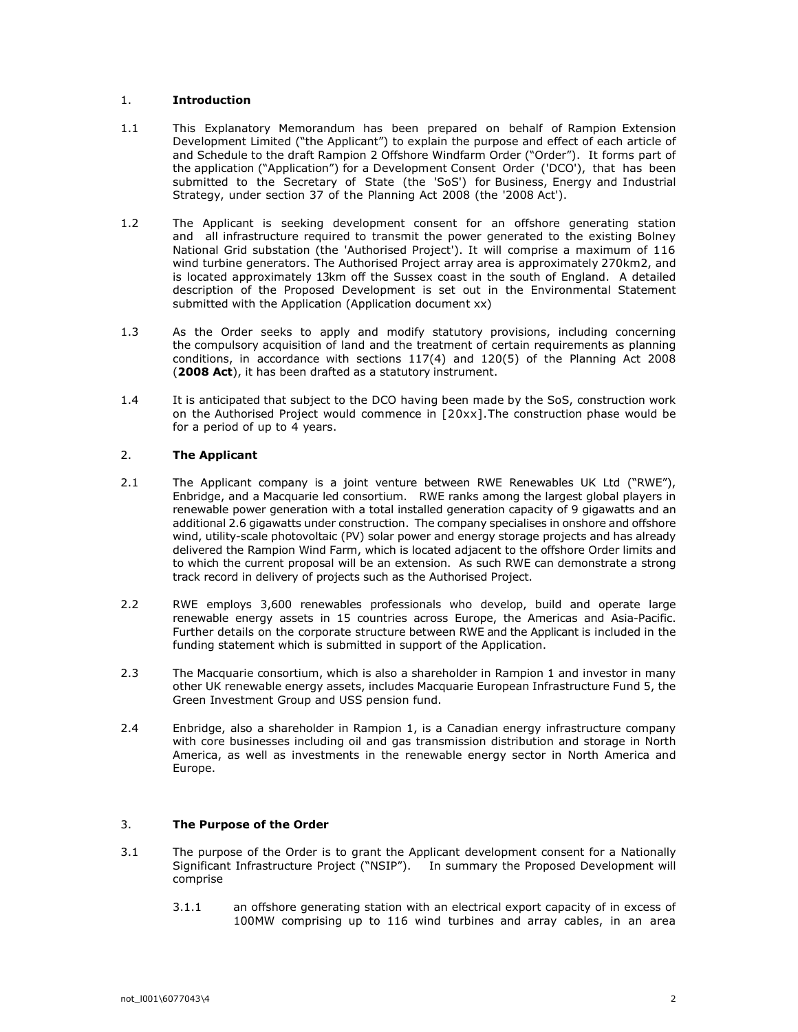## 1. Introduction

- 1.1 This Explanatory Memorandum has been prepared on behalf of Rampion Extension Development Limited ("the Applicant") to explain the purpose and effect of each article of and Schedule to the draft Rampion 2 Offshore Windfarm Order ("Order"). It forms part of the application ("Application") for a Development Consent Order ('DCO'), that has been submitted to the Secretary of State (the 'SoS') for Business, Energy and Industrial Strategy, under section 37 of the Planning Act 2008 (the '2008 Act').
- 1.2 The Applicant is seeking development consent for an offshore generating station and all infrastructure required to transmit the power generated to the existing Bolney National Grid substation (the 'Authorised Project'). It will comprise a maximum of 116 wind turbine generators. The Authorised Project array area is approximately 270km2, and is located approximately 13km off the Sussex coast in the south of England. A detailed description of the Proposed Development is set out in the Environmental Statement submitted with the Application (Application document xx)
- 1.3 As the Order seeks to apply and modify statutory provisions, including concerning the compulsory acquisition of land and the treatment of certain requirements as planning conditions, in accordance with sections 117(4) and 120(5) of the Planning Act 2008 (2008 Act), it has been drafted as a statutory instrument.
- 1.4 It is anticipated that subject to the DCO having been made by the SoS, construction work on the Authorised Project would commence in [20xx].The construction phase would be for a period of up to 4 years.

# 2. The Applicant

- 2.1 The Applicant company is a joint venture between RWE Renewables UK Ltd ("RWE"), Enbridge, and a Macquarie led consortium. RWE ranks among the largest global players in renewable power generation with a total installed generation capacity of 9 gigawatts and an additional 2.6 gigawatts under construction. The company specialises in onshore and offshore wind, utility-scale photovoltaic (PV) solar power and energy storage projects and has already delivered the Rampion Wind Farm, which is located adjacent to the offshore Order limits and to which the current proposal will be an extension. As such RWE can demonstrate a strong track record in delivery of projects such as the Authorised Project.
- 2.2 RWE employs 3,600 renewables professionals who develop, build and operate large renewable energy assets in 15 countries across Europe, the Americas and Asia-Pacific. Further details on the corporate structure between RWE and the Applicant is included in the funding statement which is submitted in support of the Application.
- 2.3 The Macquarie consortium, which is also a shareholder in Rampion 1 and investor in many other UK renewable energy assets, includes Macquarie European Infrastructure Fund 5, the Green Investment Group and USS pension fund.
- 2.4 Enbridge, also a shareholder in Rampion 1, is a Canadian energy infrastructure company with core businesses including oil and gas transmission distribution and storage in North America, as well as investments in the renewable energy sector in North America and Europe.

## 3. The Purpose of the Order

- 3.1 The purpose of the Order is to grant the Applicant development consent for a Nationally Significant Infrastructure Project ("NSIP"). In summary the Proposed Development will comprise
	- 3.1.1 an offshore generating station with an electrical export capacity of in excess of 100MW comprising up to 116 wind turbines and array cables, in an area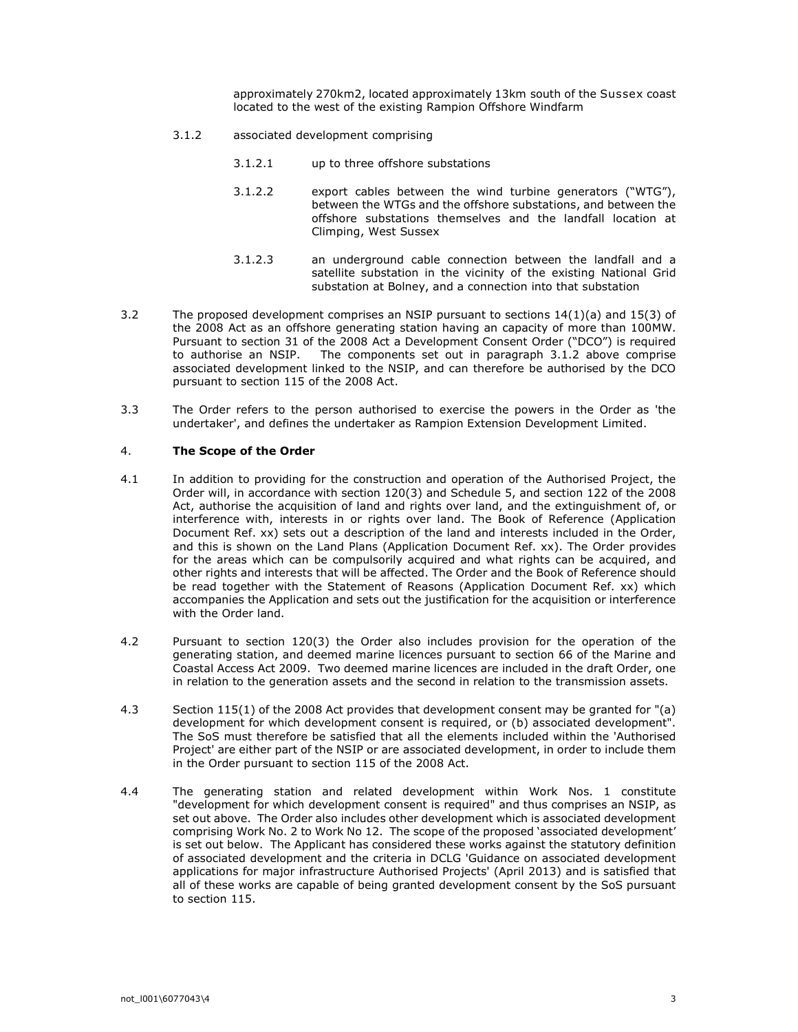approximately 270km2, located approximately 13km south of the Sussex coast located to the west of the existing Rampion Offshore Windfarm

- 3.1.2 associated development comprising
	- 3.1.2.1 up to three offshore substations
	- 3.1.2.2 export cables between the wind turbine generators ("WTG"), between the WTGs and the offshore substations, and between the offshore substations themselves and the landfall location at Climping, West Sussex
	- 3.1.2.3 an underground cable connection between the landfall and a satellite substation in the vicinity of the existing National Grid substation at Bolney, and a connection into that substation
- 3.2 The proposed development comprises an NSIP pursuant to sections 14(1)(a) and 15(3) of the 2008 Act as an offshore generating station having an capacity of more than 100MW. Pursuant to section 31 of the 2008 Act a Development Consent Order ("DCO") is required to authorise an NSIP. The components set out in paragraph 3.1.2 above comprise associated development linked to the NSIP, and can therefore be authorised by the DCO pursuant to section 115 of the 2008 Act.
- 3.3 The Order refers to the person authorised to exercise the powers in the Order as 'the undertaker', and defines the undertaker as Rampion Extension Development Limited.

## 4. The Scope of the Order

- 4.1 In addition to providing for the construction and operation of the Authorised Project, the Order will, in accordance with section 120(3) and Schedule 5, and section 122 of the 2008 Act, authorise the acquisition of land and rights over land, and the extinguishment of, or interference with, interests in or rights over land. The Book of Reference (Application Document Ref. xx) sets out a description of the land and interests included in the Order, and this is shown on the Land Plans (Application Document Ref. xx). The Order provides for the areas which can be compulsorily acquired and what rights can be acquired, and other rights and interests that will be affected. The Order and the Book of Reference should be read together with the Statement of Reasons (Application Document Ref. xx) which accompanies the Application and sets out the justification for the acquisition or interference with the Order land.
- 4.2 Pursuant to section 120(3) the Order also includes provision for the operation of the generating station, and deemed marine licences pursuant to section 66 of the Marine and Coastal Access Act 2009. Two deemed marine licences are included in the draft Order, one in relation to the generation assets and the second in relation to the transmission assets.
- 4.3 Section 115(1) of the 2008 Act provides that development consent may be granted for "(a) development for which development consent is required, or (b) associated development". The SoS must therefore be satisfied that all the elements included within the 'Authorised Project' are either part of the NSIP or are associated development, in order to include them in the Order pursuant to section 115 of the 2008 Act.
- 4.4 The generating station and related development within Work Nos. 1 constitute "development for which development consent is required" and thus comprises an NSIP, as set out above. The Order also includes other development which is associated development comprising Work No. 2 to Work No 12. The scope of the proposed 'associated development' is set out below. The Applicant has considered these works against the statutory definition of associated development and the criteria in DCLG 'Guidance on associated development applications for major infrastructure Authorised Projects' (April 2013) and is satisfied that all of these works are capable of being granted development consent by the SoS pursuant to section 115.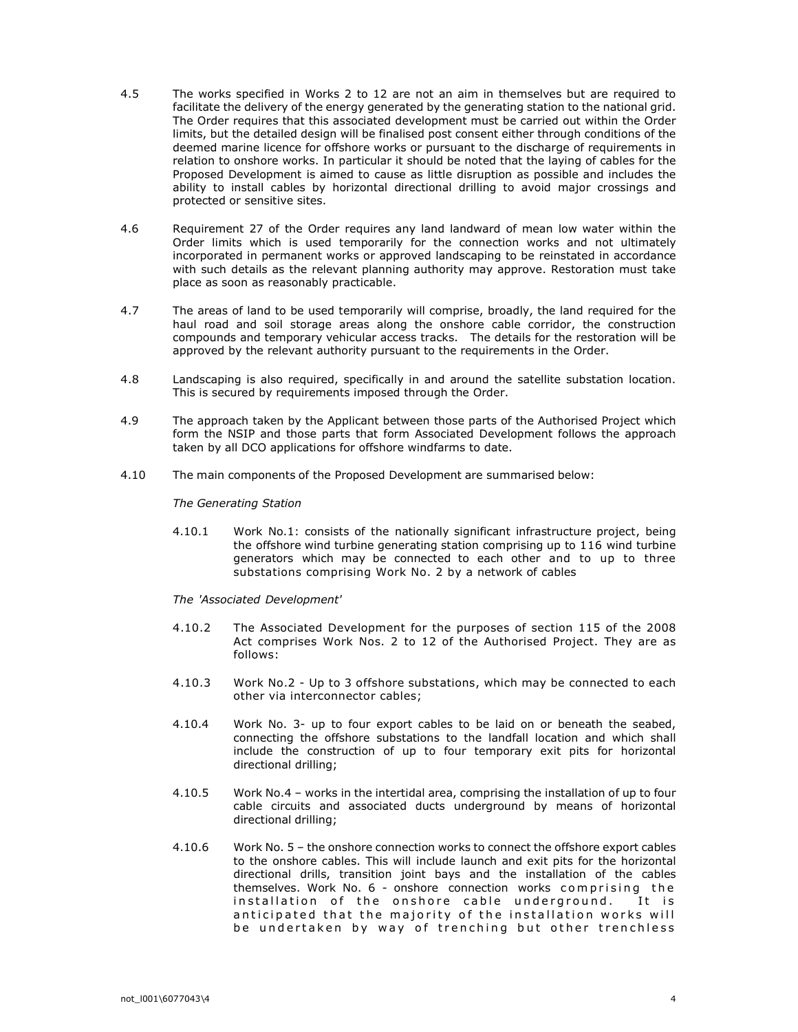- 4.5 The works specified in Works 2 to 12 are not an aim in themselves but are required to facilitate the delivery of the energy generated by the generating station to the national grid. The Order requires that this associated development must be carried out within the Order limits, but the detailed design will be finalised post consent either through conditions of the deemed marine licence for offshore works or pursuant to the discharge of requirements in relation to onshore works. In particular it should be noted that the laying of cables for the Proposed Development is aimed to cause as little disruption as possible and includes the ability to install cables by horizontal directional drilling to avoid major crossings and protected or sensitive sites.
- 4.6 Requirement 27 of the Order requires any land landward of mean low water within the Order limits which is used temporarily for the connection works and not ultimately incorporated in permanent works or approved landscaping to be reinstated in accordance with such details as the relevant planning authority may approve. Restoration must take place as soon as reasonably practicable.
- 4.7 The areas of land to be used temporarily will comprise, broadly, the land required for the haul road and soil storage areas along the onshore cable corridor, the construction compounds and temporary vehicular access tracks. The details for the restoration will be approved by the relevant authority pursuant to the requirements in the Order.
- 4.8 Landscaping is also required, specifically in and around the satellite substation location. This is secured by requirements imposed through the Order.
- 4.9 The approach taken by the Applicant between those parts of the Authorised Project which form the NSIP and those parts that form Associated Development follows the approach taken by all DCO applications for offshore windfarms to date.
- 4.10 The main components of the Proposed Development are summarised below:

The Generating Station

4.10.1 Work No.1: consists of the nationally significant infrastructure project, being the offshore wind turbine generating station comprising up to 116 wind turbine generators which may be connected to each other and to up to three substations comprising Work No. 2 by a network of cables

The 'Associated Development'

- 4.10.2 The Associated Development for the purposes of section 115 of the 2008 Act comprises Work Nos. 2 to 12 of the Authorised Project. They are as follows:
- 4.10.3 Work No.2 Up to 3 offshore substations, which may be connected to each other via interconnector cables;
- 4.10.4 Work No. 3- up to four export cables to be laid on or beneath the seabed, connecting the offshore substations to the landfall location and which shall include the construction of up to four temporary exit pits for horizontal directional drilling;
- 4.10.5 Work No.4 works in the intertidal area, comprising the installation of up to four cable circuits and associated ducts underground by means of horizontal directional drilling;
- 4.10.6 Work No. 5 the onshore connection works to connect the offshore export cables to the onshore cables. This will include launch and exit pits for the horizontal directional drills, transition joint bays and the installation of the cables themselves. Work No. 6 - onshore connection works comprising the installation of the onshore cable underground. It is anticipated that the majority of the installation works will be undertaken by way of trenching but other trenchless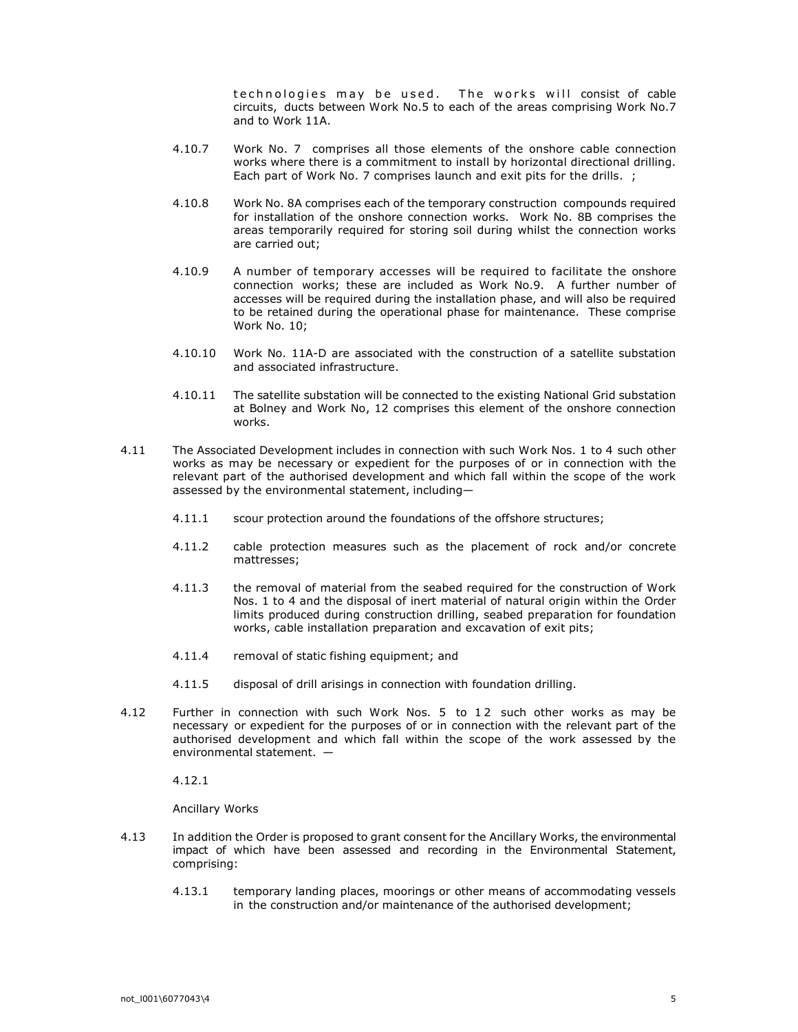te chnologies may be used. The works will consist of cable circuits, ducts between Work No.5 to each of the areas comprising Work No.7 and to Work 11A.

- 4.10.7 Work No. 7 comprises all those elements of the onshore cable connection works where there is a commitment to install by horizontal directional drilling. Each part of Work No. 7 comprises launch and exit pits for the drills. ;
- 4.10.8 Work No. 8A comprises each of the temporary construction compounds required for installation of the onshore connection works. Work No. 8B comprises the areas temporarily required for storing soil during whilst the connection works are carried out;
- 4.10.9 A number of temporary accesses will be required to facilitate the onshore connection works; these are included as Work No.9. A further number of accesses will be required during the installation phase, and will also be required to be retained during the operational phase for maintenance. These comprise Work No. 10;
- 4.10.10 Work No. 11A-D are associated with the construction of a satellite substation and associated infrastructure.
- 4.10.11 The satellite substation will be connected to the existing National Grid substation at Bolney and Work No, 12 comprises this element of the onshore connection works.
- 4.11 The Associated Development includes in connection with such Work Nos. 1 to 4 such other works as may be necessary or expedient for the purposes of or in connection with the relevant part of the authorised development and which fall within the scope of the work assessed by the environmental statement, including—
	- 4.11.1 scour protection around the foundations of the offshore structures;
	- 4.11.2 cable protection measures such as the placement of rock and/or concrete mattresses;
	- 4.11.3 the removal of material from the seabed required for the construction of Work Nos. 1 to 4 and the disposal of inert material of natural origin within the Order limits produced during construction drilling, seabed preparation for foundation works, cable installation preparation and excavation of exit pits;
	- 4.11.4 removal of static fishing equipment; and
	- 4.11.5 disposal of drill arisings in connection with foundation drilling.
- 4.12 Further in connection with such Work Nos. 5 to 1 2 such other works as may be necessary or expedient for the purposes of or in connection with the relevant part of the authorised development and which fall within the scope of the work assessed by the environmental statement. —

4.12.1

Ancillary Works

- 4.13 In addition the Order is proposed to grant consent for the Ancillary Works, the environmental impact of which have been assessed and recording in the Environmental Statement, comprising:
	- 4.13.1 temporary landing places, moorings or other means of accommodating vessels in the construction and/or maintenance of the authorised development;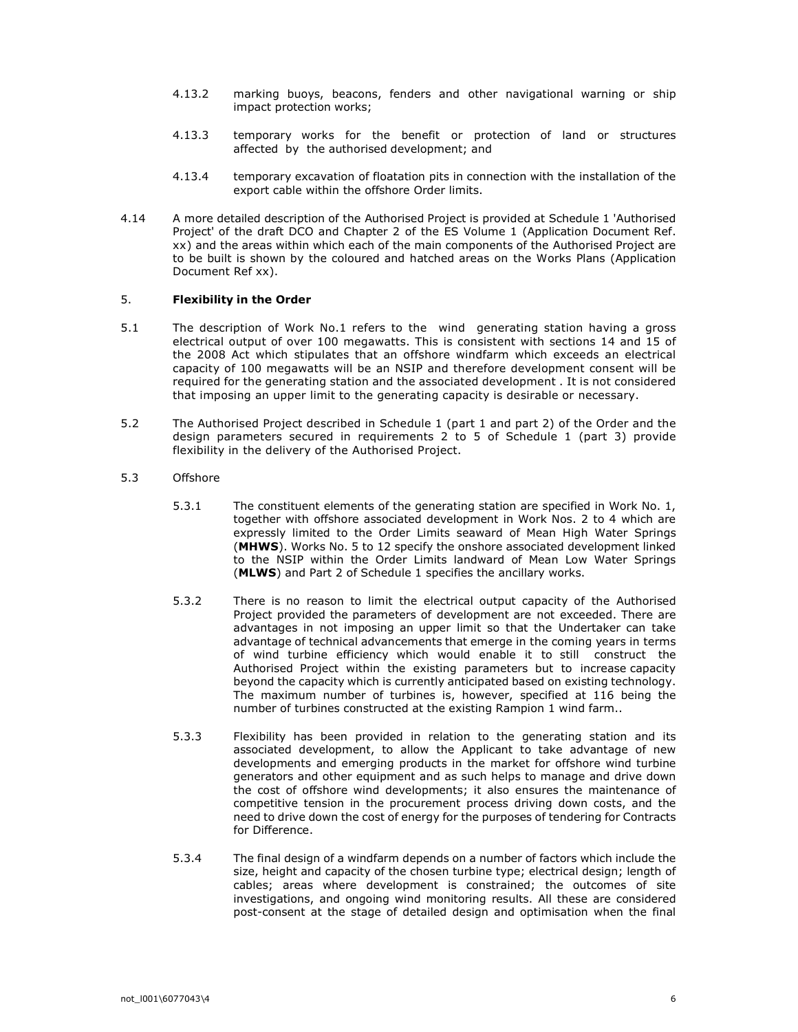- 4.13.2 marking buoys, beacons, fenders and other navigational warning or ship impact protection works;
- 4.13.3 temporary works for the benefit or protection of land or structures affected by the authorised development; and
- 4.13.4 temporary excavation of floatation pits in connection with the installation of the export cable within the offshore Order limits.
- 4.14 A more detailed description of the Authorised Project is provided at Schedule 1 'Authorised Project' of the draft DCO and Chapter 2 of the ES Volume 1 (Application Document Ref. xx) and the areas within which each of the main components of the Authorised Project are to be built is shown by the coloured and hatched areas on the Works Plans (Application Document Ref xx).

### 5. Flexibility in the Order

- 5.1 The description of Work No.1 refers to the wind generating station having a gross electrical output of over 100 megawatts. This is consistent with sections 14 and 15 of the 2008 Act which stipulates that an offshore windfarm which exceeds an electrical capacity of 100 megawatts will be an NSIP and therefore development consent will be required for the generating station and the associated development . It is not considered that imposing an upper limit to the generating capacity is desirable or necessary.
- 5.2 The Authorised Project described in Schedule 1 (part 1 and part 2) of the Order and the design parameters secured in requirements 2 to 5 of Schedule 1 (part 3) provide flexibility in the delivery of the Authorised Project.
- 5.3 Offshore
	- 5.3.1 The constituent elements of the generating station are specified in Work No. 1, together with offshore associated development in Work Nos. 2 to 4 which are expressly limited to the Order Limits seaward of Mean High Water Springs (MHWS). Works No. 5 to 12 specify the onshore associated development linked to the NSIP within the Order Limits landward of Mean Low Water Springs (MLWS) and Part 2 of Schedule 1 specifies the ancillary works.
	- 5.3.2 There is no reason to limit the electrical output capacity of the Authorised Project provided the parameters of development are not exceeded. There are advantages in not imposing an upper limit so that the Undertaker can take advantage of technical advancements that emerge in the coming years in terms of wind turbine efficiency which would enable it to still construct the Authorised Project within the existing parameters but to increase capacity beyond the capacity which is currently anticipated based on existing technology. The maximum number of turbines is, however, specified at 116 being the number of turbines constructed at the existing Rampion 1 wind farm..
	- 5.3.3 Flexibility has been provided in relation to the generating station and its associated development, to allow the Applicant to take advantage of new developments and emerging products in the market for offshore wind turbine generators and other equipment and as such helps to manage and drive down the cost of offshore wind developments; it also ensures the maintenance of competitive tension in the procurement process driving down costs, and the need to drive down the cost of energy for the purposes of tendering for Contracts for Difference.
	- 5.3.4 The final design of a windfarm depends on a number of factors which include the size, height and capacity of the chosen turbine type; electrical design; length of cables; areas where development is constrained; the outcomes of site investigations, and ongoing wind monitoring results. All these are considered post-consent at the stage of detailed design and optimisation when the final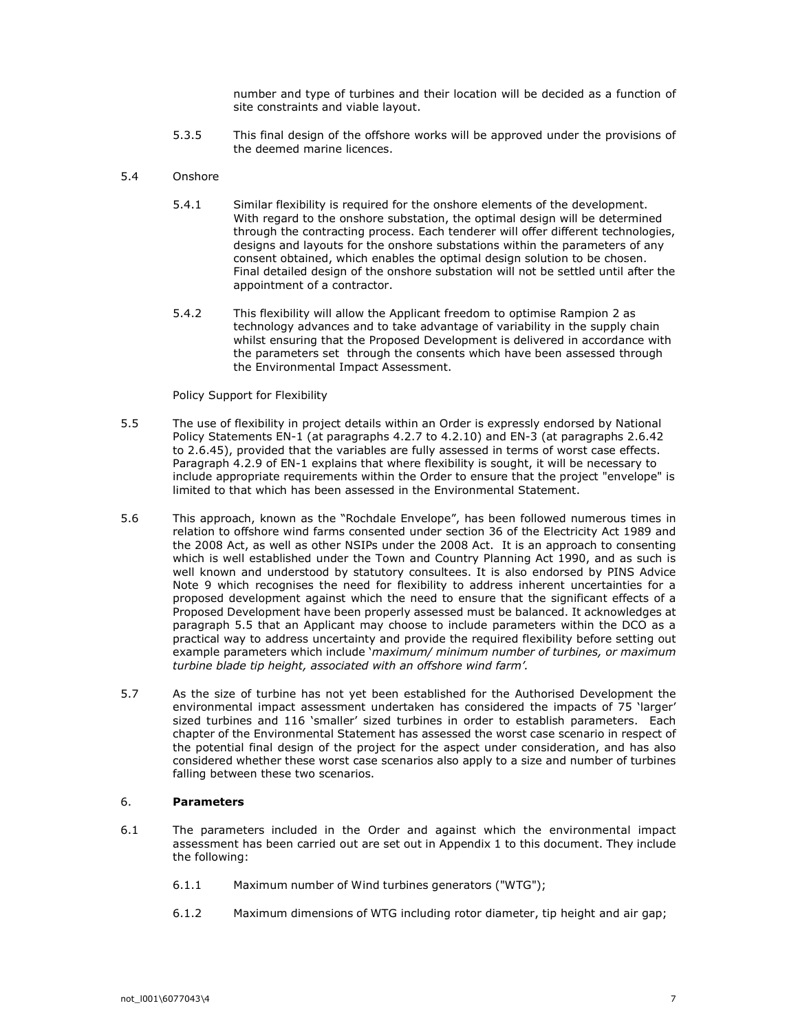number and type of turbines and their location will be decided as a function of site constraints and viable layout.

5.3.5 This final design of the offshore works will be approved under the provisions of the deemed marine licences.

### 5.4 Onshore

- 5.4.1 Similar flexibility is required for the onshore elements of the development. With regard to the onshore substation, the optimal design will be determined through the contracting process. Each tenderer will offer different technologies, designs and layouts for the onshore substations within the parameters of any consent obtained, which enables the optimal design solution to be chosen. Final detailed design of the onshore substation will not be settled until after the appointment of a contractor.
- 5.4.2 This flexibility will allow the Applicant freedom to optimise Rampion 2 as technology advances and to take advantage of variability in the supply chain whilst ensuring that the Proposed Development is delivered in accordance with the parameters set through the consents which have been assessed through the Environmental Impact Assessment.

#### Policy Support for Flexibility

- 5.5 The use of flexibility in project details within an Order is expressly endorsed by National Policy Statements EN-1 (at paragraphs 4.2.7 to 4.2.10) and EN-3 (at paragraphs 2.6.42 to 2.6.45), provided that the variables are fully assessed in terms of worst case effects. Paragraph 4.2.9 of EN-1 explains that where flexibility is sought, it will be necessary to include appropriate requirements within the Order to ensure that the project "envelope" is limited to that which has been assessed in the Environmental Statement.
- 5.6 This approach, known as the "Rochdale Envelope", has been followed numerous times in relation to offshore wind farms consented under section 36 of the Electricity Act 1989 and the 2008 Act, as well as other NSIPs under the 2008 Act. It is an approach to consenting which is well established under the Town and Country Planning Act 1990, and as such is well known and understood by statutory consultees. It is also endorsed by PINS Advice Note 9 which recognises the need for flexibility to address inherent uncertainties for a proposed development against which the need to ensure that the significant effects of a Proposed Development have been properly assessed must be balanced. It acknowledges at paragraph 5.5 that an Applicant may choose to include parameters within the DCO as a practical way to address uncertainty and provide the required flexibility before setting out example parameters which include 'maximum/ minimum number of turbines, or maximum turbine blade tip height, associated with an offshore wind farm'.
- 5.7 As the size of turbine has not yet been established for the Authorised Development the environmental impact assessment undertaken has considered the impacts of 75 'larger' sized turbines and 116 'smaller' sized turbines in order to establish parameters. Each chapter of the Environmental Statement has assessed the worst case scenario in respect of the potential final design of the project for the aspect under consideration, and has also considered whether these worst case scenarios also apply to a size and number of turbines falling between these two scenarios.

## 6. Parameters

- 6.1 The parameters included in the Order and against which the environmental impact assessment has been carried out are set out in Appendix 1 to this document. They include the following:
	- 6.1.1 Maximum number of Wind turbines generators ("WTG");
	- 6.1.2 Maximum dimensions of WTG including rotor diameter, tip height and air gap;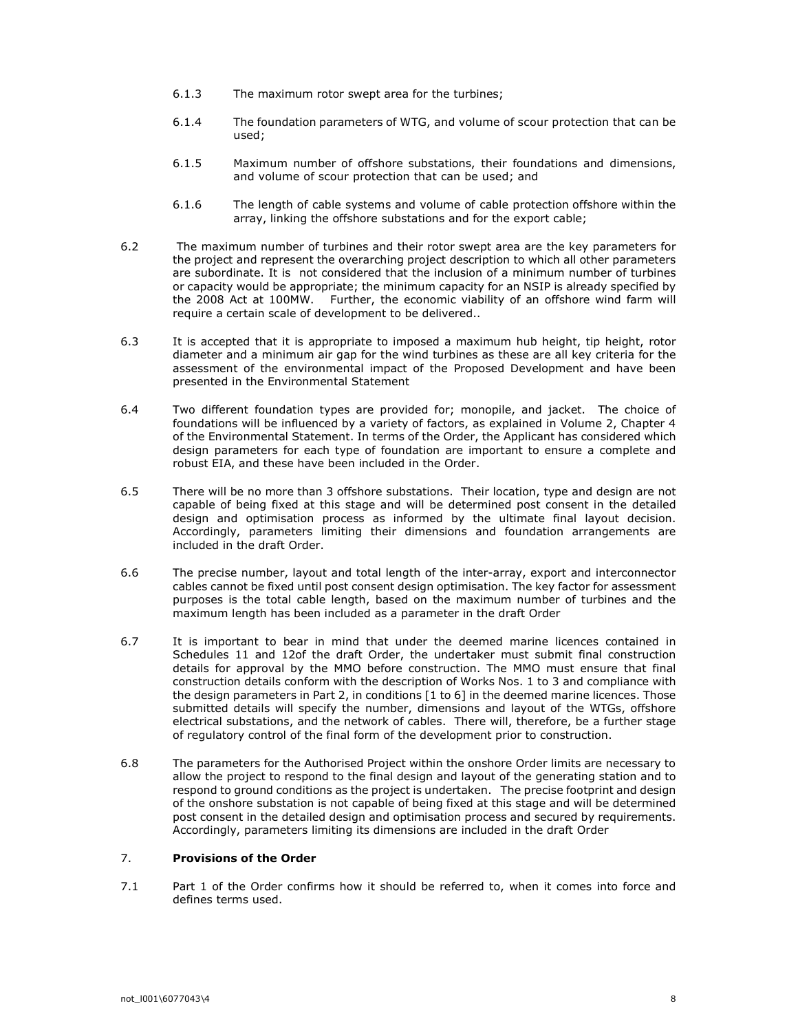- 6.1.3 The maximum rotor swept area for the turbines;
- 6.1.4 The foundation parameters of WTG, and volume of scour protection that can be used;
- 6.1.5 Maximum number of offshore substations, their foundations and dimensions, and volume of scour protection that can be used; and
- 6.1.6 The length of cable systems and volume of cable protection offshore within the array, linking the offshore substations and for the export cable;
- 6.2 The maximum number of turbines and their rotor swept area are the key parameters for the project and represent the overarching project description to which all other parameters are subordinate. It is not considered that the inclusion of a minimum number of turbines or capacity would be appropriate; the minimum capacity for an NSIP is already specified by the 2008 Act at 100MW. Further, the economic viability of an offshore wind farm will require a certain scale of development to be delivered..
- 6.3 It is accepted that it is appropriate to imposed a maximum hub height, tip height, rotor diameter and a minimum air gap for the wind turbines as these are all key criteria for the assessment of the environmental impact of the Proposed Development and have been presented in the Environmental Statement
- 6.4 Two different foundation types are provided for; monopile, and jacket. The choice of foundations will be influenced by a variety of factors, as explained in Volume 2, Chapter 4 of the Environmental Statement. In terms of the Order, the Applicant has considered which design parameters for each type of foundation are important to ensure a complete and robust EIA, and these have been included in the Order.
- 6.5 There will be no more than 3 offshore substations. Their location, type and design are not capable of being fixed at this stage and will be determined post consent in the detailed design and optimisation process as informed by the ultimate final layout decision. Accordingly, parameters limiting their dimensions and foundation arrangements are included in the draft Order.
- 6.6 The precise number, layout and total length of the inter-array, export and interconnector cables cannot be fixed until post consent design optimisation. The key factor for assessment purposes is the total cable length, based on the maximum number of turbines and the maximum length has been included as a parameter in the draft Order
- 6.7 It is important to bear in mind that under the deemed marine licences contained in Schedules 11 and 12of the draft Order, the undertaker must submit final construction details for approval by the MMO before construction. The MMO must ensure that final construction details conform with the description of Works Nos. 1 to 3 and compliance with the design parameters in Part 2, in conditions [1 to 6] in the deemed marine licences. Those submitted details will specify the number, dimensions and layout of the WTGs, offshore electrical substations, and the network of cables. There will, therefore, be a further stage of regulatory control of the final form of the development prior to construction.
- 6.8 The parameters for the Authorised Project within the onshore Order limits are necessary to allow the project to respond to the final design and layout of the generating station and to respond to ground conditions as the project is undertaken. The precise footprint and design of the onshore substation is not capable of being fixed at this stage and will be determined post consent in the detailed design and optimisation process and secured by requirements. Accordingly, parameters limiting its dimensions are included in the draft Order

# 7. Provisions of the Order

7.1 Part 1 of the Order confirms how it should be referred to, when it comes into force and defines terms used.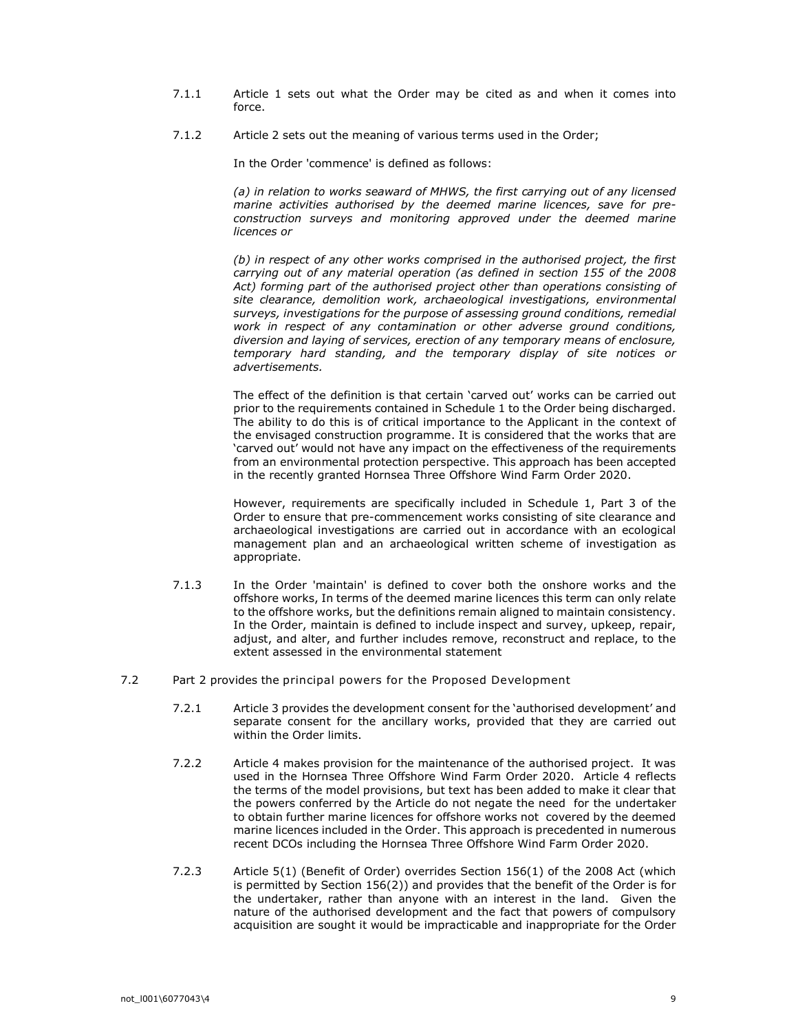- 7.1.1 Article 1 sets out what the Order may be cited as and when it comes into force.
- 7.1.2 Article 2 sets out the meaning of various terms used in the Order;

In the Order 'commence' is defined as follows:

(a) in relation to works seaward of MHWS, the first carrying out of any licensed marine activities authorised by the deemed marine licences, save for preconstruction surveys and monitoring approved under the deemed marine licences or

(b) in respect of any other works comprised in the authorised project, the first carrying out of any material operation (as defined in section 155 of the 2008 Act) forming part of the authorised project other than operations consisting of site clearance, demolition work, archaeological investigations, environmental surveys, investigations for the purpose of assessing ground conditions, remedial work in respect of any contamination or other adverse ground conditions, diversion and laying of services, erection of any temporary means of enclosure, temporary hard standing, and the temporary display of site notices or advertisements.

The effect of the definition is that certain 'carved out' works can be carried out prior to the requirements contained in Schedule 1 to the Order being discharged. The ability to do this is of critical importance to the Applicant in the context of the envisaged construction programme. It is considered that the works that are 'carved out' would not have any impact on the effectiveness of the requirements from an environmental protection perspective. This approach has been accepted in the recently granted Hornsea Three Offshore Wind Farm Order 2020.

However, requirements are specifically included in Schedule 1, Part 3 of the Order to ensure that pre-commencement works consisting of site clearance and archaeological investigations are carried out in accordance with an ecological management plan and an archaeological written scheme of investigation as appropriate.

- 7.1.3 In the Order 'maintain' is defined to cover both the onshore works and the offshore works, In terms of the deemed marine licences this term can only relate to the offshore works, but the definitions remain aligned to maintain consistency. In the Order, maintain is defined to include inspect and survey, upkeep, repair, adjust, and alter, and further includes remove, reconstruct and replace, to the extent assessed in the environmental statement
- 7.2 Part 2 provides the principal powers for the Proposed Development
	- 7.2.1 Article 3 provides the development consent for the 'authorised development' and separate consent for the ancillary works, provided that they are carried out within the Order limits.
	- 7.2.2 Article 4 makes provision for the maintenance of the authorised project. It was used in the Hornsea Three Offshore Wind Farm Order 2020. Article 4 reflects the terms of the model provisions, but text has been added to make it clear that the powers conferred by the Article do not negate the need for the undertaker to obtain further marine licences for offshore works not covered by the deemed marine licences included in the Order. This approach is precedented in numerous recent DCOs including the Hornsea Three Offshore Wind Farm Order 2020.
	- 7.2.3 Article 5(1) (Benefit of Order) overrides Section 156(1) of the 2008 Act (which is permitted by Section 156(2)) and provides that the benefit of the Order is for the undertaker, rather than anyone with an interest in the land. Given the nature of the authorised development and the fact that powers of compulsory acquisition are sought it would be impracticable and inappropriate for the Order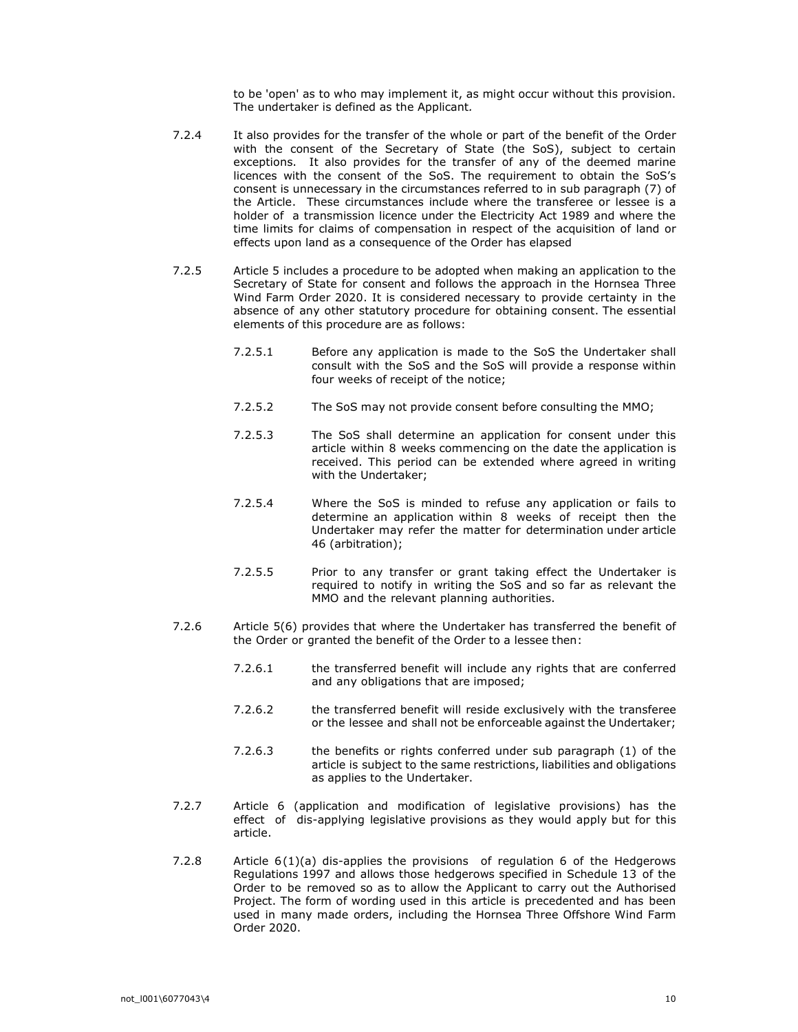to be 'open' as to who may implement it, as might occur without this provision. The undertaker is defined as the Applicant.

- 7.2.4 It also provides for the transfer of the whole or part of the benefit of the Order with the consent of the Secretary of State (the SoS), subject to certain exceptions. It also provides for the transfer of any of the deemed marine licences with the consent of the SoS. The requirement to obtain the SoS's consent is unnecessary in the circumstances referred to in sub paragraph (7) of the Article. These circumstances include where the transferee or lessee is a holder of a transmission licence under the Electricity Act 1989 and where the time limits for claims of compensation in respect of the acquisition of land or effects upon land as a consequence of the Order has elapsed
- 7.2.5 Article 5 includes a procedure to be adopted when making an application to the Secretary of State for consent and follows the approach in the Hornsea Three Wind Farm Order 2020. It is considered necessary to provide certainty in the absence of any other statutory procedure for obtaining consent. The essential elements of this procedure are as follows:
	- 7.2.5.1 Before any application is made to the SoS the Undertaker shall consult with the SoS and the SoS will provide a response within four weeks of receipt of the notice;
	- 7.2.5.2 The SoS may not provide consent before consulting the MMO;
	- 7.2.5.3 The SoS shall determine an application for consent under this article within 8 weeks commencing on the date the application is received. This period can be extended where agreed in writing with the Undertaker;
	- 7.2.5.4 Where the SoS is minded to refuse any application or fails to determine an application within 8 weeks of receipt then the Undertaker may refer the matter for determination under article 46 (arbitration);
	- 7.2.5.5 Prior to any transfer or grant taking effect the Undertaker is required to notify in writing the SoS and so far as relevant the MMO and the relevant planning authorities.
- 7.2.6 Article 5(6) provides that where the Undertaker has transferred the benefit of the Order or granted the benefit of the Order to a lessee then:
	- 7.2.6.1 the transferred benefit will include any rights that are conferred and any obligations that are imposed;
	- 7.2.6.2 the transferred benefit will reside exclusively with the transferee or the lessee and shall not be enforceable against the Undertaker;
	- 7.2.6.3 the benefits or rights conferred under sub paragraph (1) of the article is subject to the same restrictions, liabilities and obligations as applies to the Undertaker.
- 7.2.7 Article 6 (application and modification of legislative provisions) has the effect of dis-applying legislative provisions as they would apply but for this article.
- 7.2.8 Article 6(1)(a) dis-applies the provisions of regulation 6 of the Hedgerows Regulations 1997 and allows those hedgerows specified in Schedule 13 of the Order to be removed so as to allow the Applicant to carry out the Authorised Project. The form of wording used in this article is precedented and has been used in many made orders, including the Hornsea Three Offshore Wind Farm Order 2020.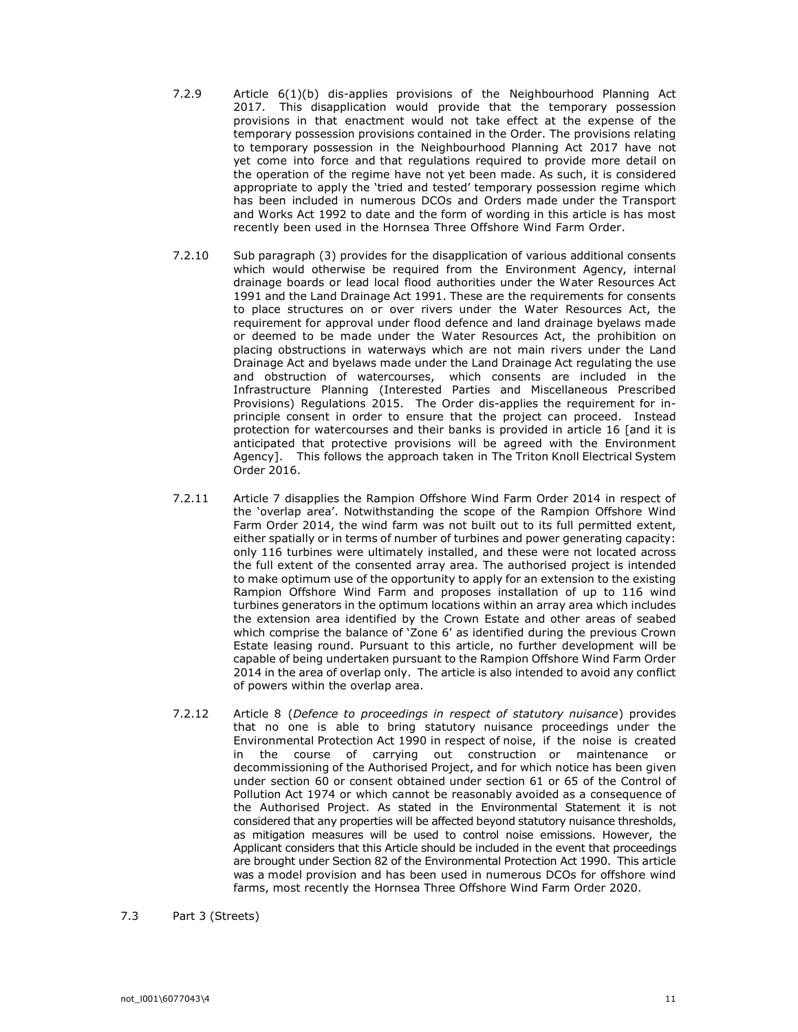- 7.2.9 Article 6(1)(b) dis-applies provisions of the Neighbourhood Planning Act 2017. This disapplication would provide that the temporary possession provisions in that enactment would not take effect at the expense of the temporary possession provisions contained in the Order. The provisions relating to temporary possession in the Neighbourhood Planning Act 2017 have not yet come into force and that regulations required to provide more detail on the operation of the regime have not yet been made. As such, it is considered appropriate to apply the 'tried and tested' temporary possession regime which has been included in numerous DCOs and Orders made under the Transport and Works Act 1992 to date and the form of wording in this article is has most recently been used in the Hornsea Three Offshore Wind Farm Order.
- 7.2.10 Sub paragraph (3) provides for the disapplication of various additional consents which would otherwise be required from the Environment Agency, internal drainage boards or lead local flood authorities under the Water Resources Act 1991 and the Land Drainage Act 1991. These are the requirements for consents to place structures on or over rivers under the Water Resources Act, the requirement for approval under flood defence and land drainage byelaws made or deemed to be made under the Water Resources Act, the prohibition on placing obstructions in waterways which are not main rivers under the Land Drainage Act and byelaws made under the Land Drainage Act regulating the use and obstruction of watercourses, which consents are included in the Infrastructure Planning (Interested Parties and Miscellaneous Prescribed Provisions) Regulations 2015. The Order dis-applies the requirement for inprinciple consent in order to ensure that the project can proceed. Instead protection for watercourses and their banks is provided in article 16 [and it is anticipated that protective provisions will be agreed with the Environment Agency]. This follows the approach taken in The Triton Knoll Electrical System Order 2016.
- 7.2.11 Article 7 disapplies the Rampion Offshore Wind Farm Order 2014 in respect of the 'overlap area'. Notwithstanding the scope of the Rampion Offshore Wind Farm Order 2014, the wind farm was not built out to its full permitted extent, either spatially or in terms of number of turbines and power generating capacity: only 116 turbines were ultimately installed, and these were not located across the full extent of the consented array area. The authorised project is intended to make optimum use of the opportunity to apply for an extension to the existing Rampion Offshore Wind Farm and proposes installation of up to 116 wind turbines generators in the optimum locations within an array area which includes the extension area identified by the Crown Estate and other areas of seabed which comprise the balance of 'Zone 6' as identified during the previous Crown Estate leasing round. Pursuant to this article, no further development will be capable of being undertaken pursuant to the Rampion Offshore Wind Farm Order 2014 in the area of overlap only. The article is also intended to avoid any conflict of powers within the overlap area.
- 7.2.12 Article 8 (Defence to proceedings in respect of statutory nuisance) provides that no one is able to bring statutory nuisance proceedings under the Environmental Protection Act 1990 in respect of noise, if the noise is created in the course of carrying out construction or maintenance or decommissioning of the Authorised Project, and for which notice has been given under section 60 or consent obtained under section 61 or 65 of the Control of Pollution Act 1974 or which cannot be reasonably avoided as a consequence of the Authorised Project. As stated in the Environmental Statement it is not considered that any properties will be affected beyond statutory nuisance thresholds, as mitigation measures will be used to control noise emissions. However, the Applicant considers that this Article should be included in the event that proceedings are brought under Section 82 of the Environmental Protection Act 1990. This article was a model provision and has been used in numerous DCOs for offshore wind farms, most recently the Hornsea Three Offshore Wind Farm Order 2020.

## 7.3 Part 3 (Streets)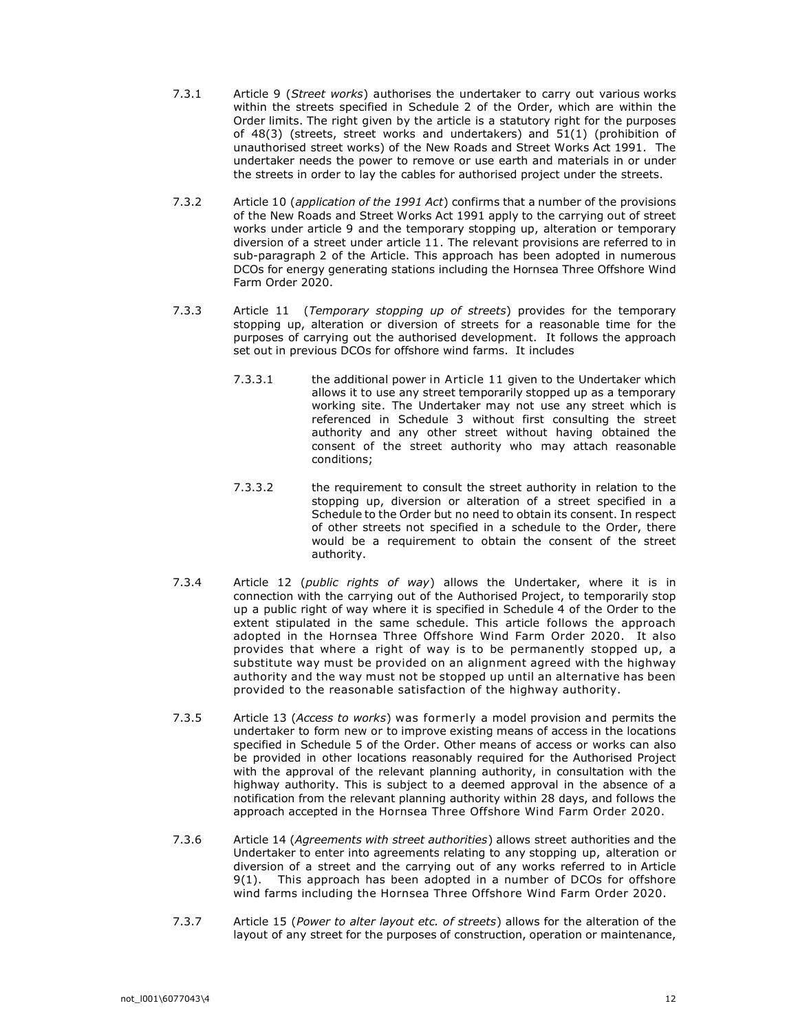- 7.3.1 Article 9 (Street works) authorises the undertaker to carry out various works within the streets specified in Schedule 2 of the Order, which are within the Order limits. The right given by the article is a statutory right for the purposes of 48(3) (streets, street works and undertakers) and 51(1) (prohibition of unauthorised street works) of the New Roads and Street Works Act 1991. The undertaker needs the power to remove or use earth and materials in or under the streets in order to lay the cables for authorised project under the streets.
- 7.3.2 Article 10 (application of the 1991 Act) confirms that a number of the provisions of the New Roads and Street Works Act 1991 apply to the carrying out of street works under article 9 and the temporary stopping up, alteration or temporary diversion of a street under article 11. The relevant provisions are referred to in sub-paragraph 2 of the Article. This approach has been adopted in numerous DCOs for energy generating stations including the Hornsea Three Offshore Wind Farm Order 2020.
- 7.3.3 Article 11 (Temporary stopping up of streets) provides for the temporary stopping up, alteration or diversion of streets for a reasonable time for the purposes of carrying out the authorised development. It follows the approach set out in previous DCOs for offshore wind farms. It includes
	- 7.3.3.1 the additional power in Article 11 given to the Undertaker which allows it to use any street temporarily stopped up as a temporary working site. The Undertaker may not use any street which is referenced in Schedule 3 without first consulting the street authority and any other street without having obtained the consent of the street authority who may attach reasonable conditions;
	- 7.3.3.2 the requirement to consult the street authority in relation to the stopping up, diversion or alteration of a street specified in a Schedule to the Order but no need to obtain its consent. In respect of other streets not specified in a schedule to the Order, there would be a requirement to obtain the consent of the street authority.
- 7.3.4 Article 12 (public rights of way) allows the Undertaker, where it is in connection with the carrying out of the Authorised Project, to temporarily stop up a public right of way where it is specified in Schedule 4 of the Order to the extent stipulated in the same schedule. This article follows the approach adopted in the Hornsea Three Offshore Wind Farm Order 2020. It also provides that where a right of way is to be permanently stopped up, a substitute way must be provided on an alignment agreed with the highway authority and the way must not be stopped up until an alternative has been provided to the reasonable satisfaction of the highway authority.
- 7.3.5 Article 13 (Access to works) was formerly a model provision and permits the undertaker to form new or to improve existing means of access in the locations specified in Schedule 5 of the Order. Other means of access or works can also be provided in other locations reasonably required for the Authorised Project with the approval of the relevant planning authority, in consultation with the highway authority. This is subject to a deemed approval in the absence of a notification from the relevant planning authority within 28 days, and follows the approach accepted in the Hornsea Three Offshore Wind Farm Order 2020.
- 7.3.6 Article 14 (Agreements with street authorities) allows street authorities and the Undertaker to enter into agreements relating to any stopping up, alteration or diversion of a street and the carrying out of any works referred to in Article 9(1). This approach has been adopted in a number of DCOs for offshore wind farms including the Hornsea Three Offshore Wind Farm Order 2020.
- 7.3.7 Article 15 (Power to alter layout etc. of streets) allows for the alteration of the layout of any street for the purposes of construction, operation or maintenance,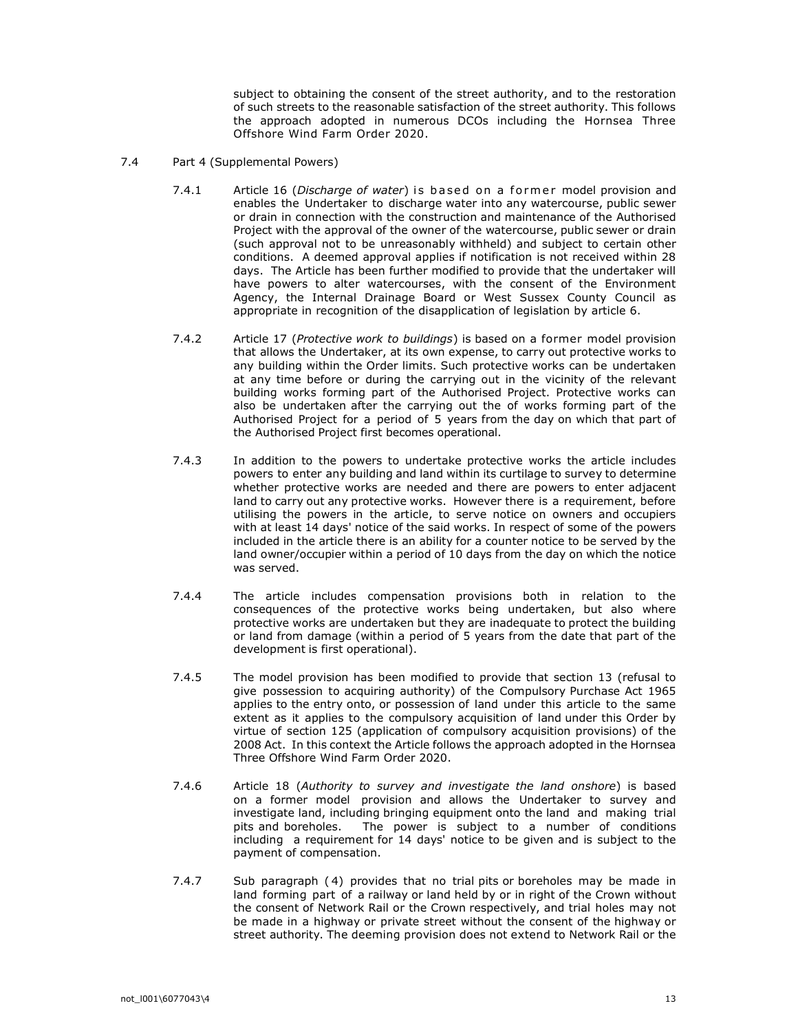subject to obtaining the consent of the street authority, and to the restoration of such streets to the reasonable satisfaction of the street authority. This follows the approach adopted in numerous DCOs including the Hornsea Three Offshore Wind Farm Order 2020.

- 7.4 Part 4 (Supplemental Powers)
	- 7.4.1 Article 16 (Discharge of water) is based on a former model provision and enables the Undertaker to discharge water into any watercourse, public sewer or drain in connection with the construction and maintenance of the Authorised Project with the approval of the owner of the watercourse, public sewer or drain (such approval not to be unreasonably withheld) and subject to certain other conditions. A deemed approval applies if notification is not received within 28 days. The Article has been further modified to provide that the undertaker will have powers to alter watercourses, with the consent of the Environment Agency, the Internal Drainage Board or West Sussex County Council as appropriate in recognition of the disapplication of legislation by article 6.
	- 7.4.2 Article 17 (Protective work to buildings) is based on a former model provision that allows the Undertaker, at its own expense, to carry out protective works to any building within the Order limits. Such protective works can be undertaken at any time before or during the carrying out in the vicinity of the relevant building works forming part of the Authorised Project. Protective works can also be undertaken after the carrying out the of works forming part of the Authorised Project for a period of 5 years from the day on which that part of the Authorised Project first becomes operational.
	- 7.4.3 In addition to the powers to undertake protective works the article includes powers to enter any building and land within its curtilage to survey to determine whether protective works are needed and there are powers to enter adjacent land to carry out any protective works. However there is a requirement, before utilising the powers in the article, to serve notice on owners and occupiers with at least 14 days' notice of the said works. In respect of some of the powers included in the article there is an ability for a counter notice to be served by the land owner/occupier within a period of 10 days from the day on which the notice was served.
	- 7.4.4 The article includes compensation provisions both in relation to the consequences of the protective works being undertaken, but also where protective works are undertaken but they are inadequate to protect the building or land from damage (within a period of 5 years from the date that part of the development is first operational).
	- 7.4.5 The model provision has been modified to provide that section 13 (refusal to give possession to acquiring authority) of the Compulsory Purchase Act 1965 applies to the entry onto, or possession of land under this article to the same extent as it applies to the compulsory acquisition of land under this Order by virtue of section 125 (application of compulsory acquisition provisions) of the 2008 Act. In this context the Article follows the approach adopted in the Hornsea Three Offshore Wind Farm Order 2020.
	- 7.4.6 Article 18 (Authority to survey and investigate the land onshore) is based on a former model provision and allows the Undertaker to survey and investigate land, including bringing equipment onto the land and making trial pits and boreholes. The power is subject to a number of conditions including a requirement for 14 days' notice to be given and is subject to the payment of compensation.
	- 7.4.7 Sub paragraph ( 4) provides that no trial pits or boreholes may be made in land forming part of a railway or land held by or in right of the Crown without the consent of Network Rail or the Crown respectively, and trial holes may not be made in a highway or private street without the consent of the highway or street authority. The deeming provision does not extend to Network Rail or the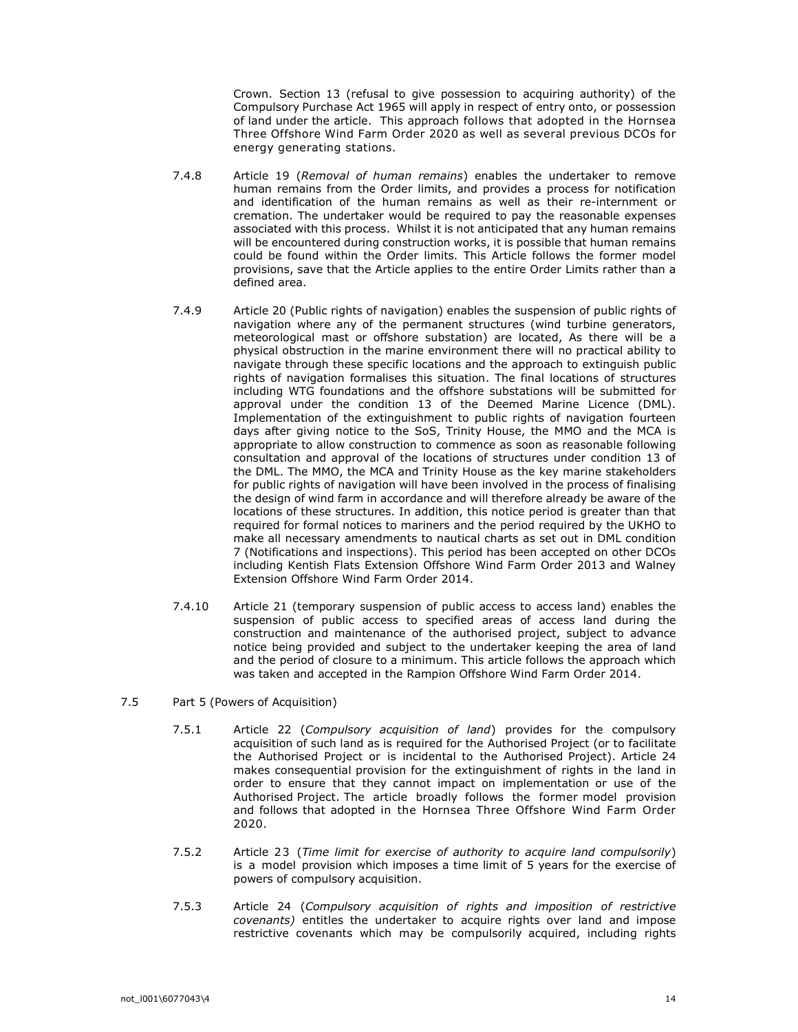Crown. Section 13 (refusal to give possession to acquiring authority) of the Compulsory Purchase Act 1965 will apply in respect of entry onto, or possession of land under the article. This approach follows that adopted in the Hornsea Three Offshore Wind Farm Order 2020 as well as several previous DCOs for energy generating stations.

- 7.4.8 Article 19 (Removal of human remains) enables the undertaker to remove human remains from the Order limits, and provides a process for notification and identification of the human remains as well as their re-internment or cremation. The undertaker would be required to pay the reasonable expenses associated with this process. Whilst it is not anticipated that any human remains will be encountered during construction works, it is possible that human remains could be found within the Order limits. This Article follows the former model provisions, save that the Article applies to the entire Order Limits rather than a defined area.
- 7.4.9 Article 20 (Public rights of navigation) enables the suspension of public rights of navigation where any of the permanent structures (wind turbine generators, meteorological mast or offshore substation) are located, As there will be a physical obstruction in the marine environment there will no practical ability to navigate through these specific locations and the approach to extinguish public rights of navigation formalises this situation. The final locations of structures including WTG foundations and the offshore substations will be submitted for approval under the condition 13 of the Deemed Marine Licence (DML). Implementation of the extinguishment to public rights of navigation fourteen days after giving notice to the SoS, Trinity House, the MMO and the MCA is appropriate to allow construction to commence as soon as reasonable following consultation and approval of the locations of structures under condition 13 of the DML. The MMO, the MCA and Trinity House as the key marine stakeholders for public rights of navigation will have been involved in the process of finalising the design of wind farm in accordance and will therefore already be aware of the locations of these structures. In addition, this notice period is greater than that required for formal notices to mariners and the period required by the UKHO to make all necessary amendments to nautical charts as set out in DML condition 7 (Notifications and inspections). This period has been accepted on other DCOs including Kentish Flats Extension Offshore Wind Farm Order 2013 and Walney Extension Offshore Wind Farm Order 2014.
- 7.4.10 Article 21 (temporary suspension of public access to access land) enables the suspension of public access to specified areas of access land during the construction and maintenance of the authorised project, subject to advance notice being provided and subject to the undertaker keeping the area of land and the period of closure to a minimum. This article follows the approach which was taken and accepted in the Rampion Offshore Wind Farm Order 2014.
- 7.5 Part 5 (Powers of Acquisition)
	- 7.5.1 Article 22 (Compulsory acquisition of land) provides for the compulsory acquisition of such land as is required for the Authorised Project (or to facilitate the Authorised Project or is incidental to the Authorised Project). Article 24 makes consequential provision for the extinguishment of rights in the land in order to ensure that they cannot impact on implementation or use of the Authorised Project. The article broadly follows the former model provision and follows that adopted in the Hornsea Three Offshore Wind Farm Order 2020.
	- 7.5.2 Article 23 (Time limit for exercise of authority to acquire land compulsorily) is a model provision which imposes a time limit of 5 years for the exercise of powers of compulsory acquisition.
	- 7.5.3 Article 24 (Compulsory acquisition of rights and imposition of restrictive covenants) entitles the undertaker to acquire rights over land and impose restrictive covenants which may be compulsorily acquired, including rights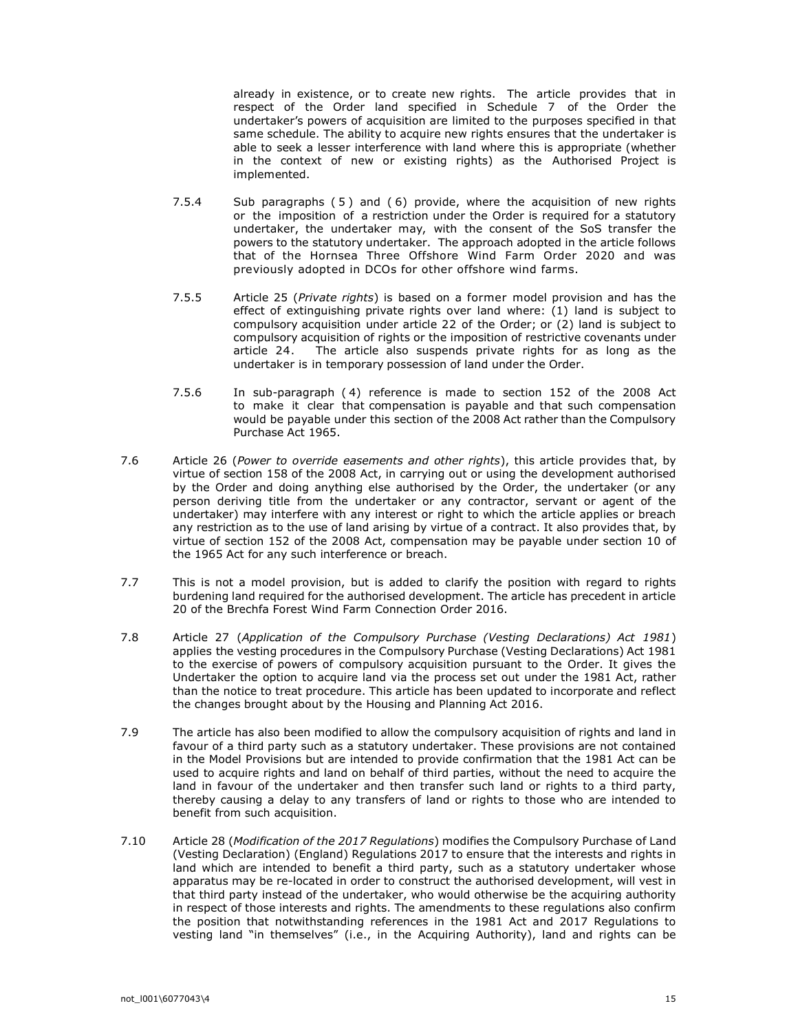already in existence, or to create new rights. The article provides that in respect of the Order land specified in Schedule 7 of the Order the undertaker's powers of acquisition are limited to the purposes specified in that same schedule. The ability to acquire new rights ensures that the undertaker is able to seek a lesser interference with land where this is appropriate (whether in the context of new or existing rights) as the Authorised Project is implemented.

- 7.5.4 Sub paragraphs (5) and (6) provide, where the acquisition of new rights or the imposition of a restriction under the Order is required for a statutory undertaker, the undertaker may, with the consent of the SoS transfer the powers to the statutory undertaker. The approach adopted in the article follows that of the Hornsea Three Offshore Wind Farm Order 2020 and was previously adopted in DCOs for other offshore wind farms.
- 7.5.5 Article 25 (Private rights) is based on a former model provision and has the effect of extinguishing private rights over land where: (1) land is subject to compulsory acquisition under article 22 of the Order; or (2) land is subject to compulsory acquisition of rights or the imposition of restrictive covenants under article 24. The article also suspends private rights for as long as the undertaker is in temporary possession of land under the Order.
- 7.5.6 In sub-paragraph ( 4) reference is made to section 152 of the 2008 Act to make it clear that compensation is payable and that such compensation would be payable under this section of the 2008 Act rather than the Compulsory Purchase Act 1965.
- 7.6 Article 26 (Power to override easements and other rights), this article provides that, by virtue of section 158 of the 2008 Act, in carrying out or using the development authorised by the Order and doing anything else authorised by the Order, the undertaker (or any person deriving title from the undertaker or any contractor, servant or agent of the undertaker) may interfere with any interest or right to which the article applies or breach any restriction as to the use of land arising by virtue of a contract. It also provides that, by virtue of section 152 of the 2008 Act, compensation may be payable under section 10 of the 1965 Act for any such interference or breach.
- 7.7 This is not a model provision, but is added to clarify the position with regard to rights burdening land required for the authorised development. The article has precedent in article 20 of the Brechfa Forest Wind Farm Connection Order 2016.
- 7.8 Article 27 (Application of the Compulsory Purchase (Vesting Declarations) Act 1981) applies the vesting procedures in the Compulsory Purchase (Vesting Declarations) Act 1981 to the exercise of powers of compulsory acquisition pursuant to the Order. It gives the Undertaker the option to acquire land via the process set out under the 1981 Act, rather than the notice to treat procedure. This article has been updated to incorporate and reflect the changes brought about by the Housing and Planning Act 2016.
- 7.9 The article has also been modified to allow the compulsory acquisition of rights and land in favour of a third party such as a statutory undertaker. These provisions are not contained in the Model Provisions but are intended to provide confirmation that the 1981 Act can be used to acquire rights and land on behalf of third parties, without the need to acquire the land in favour of the undertaker and then transfer such land or rights to a third party, thereby causing a delay to any transfers of land or rights to those who are intended to benefit from such acquisition.
- 7.10 Article 28 (Modification of the 2017 Regulations) modifies the Compulsory Purchase of Land (Vesting Declaration) (England) Regulations 2017 to ensure that the interests and rights in land which are intended to benefit a third party, such as a statutory undertaker whose apparatus may be re-located in order to construct the authorised development, will vest in that third party instead of the undertaker, who would otherwise be the acquiring authority in respect of those interests and rights. The amendments to these regulations also confirm the position that notwithstanding references in the 1981 Act and 2017 Regulations to vesting land "in themselves" (i.e., in the Acquiring Authority), land and rights can be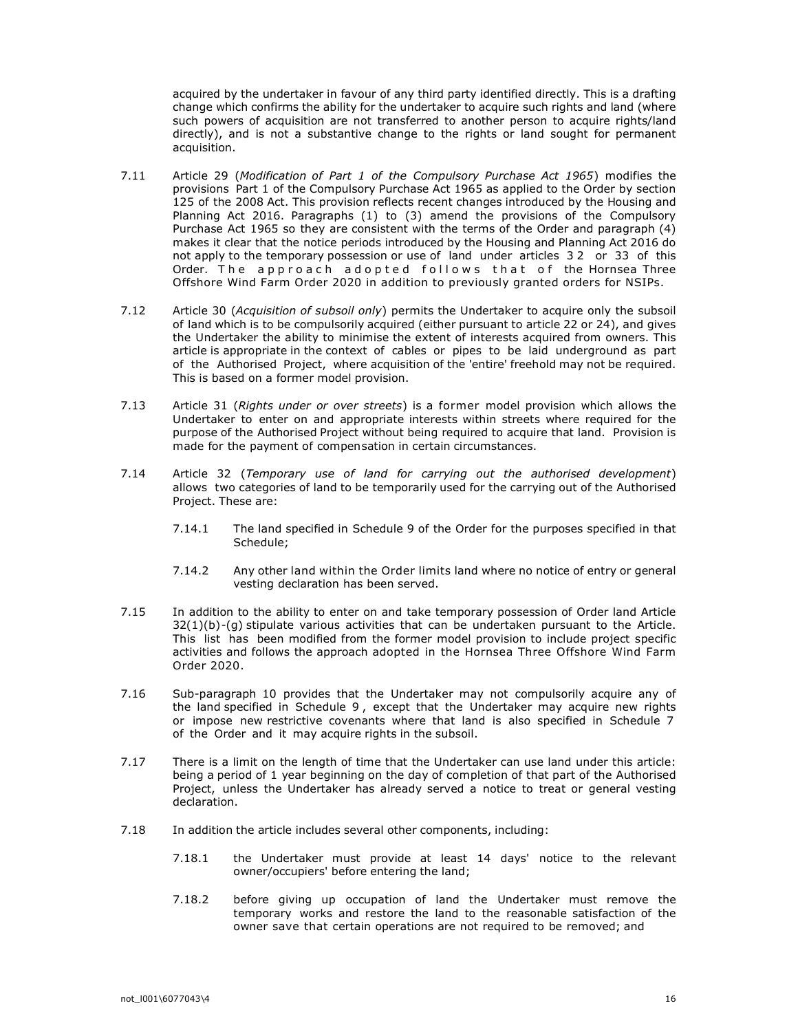acquired by the undertaker in favour of any third party identified directly. This is a drafting change which confirms the ability for the undertaker to acquire such rights and land (where such powers of acquisition are not transferred to another person to acquire rights/land directly), and is not a substantive change to the rights or land sought for permanent acquisition.

- 7.11 Article 29 (Modification of Part 1 of the Compulsory Purchase Act 1965) modifies the provisions Part 1 of the Compulsory Purchase Act 1965 as applied to the Order by section 125 of the 2008 Act. This provision reflects recent changes introduced by the Housing and Planning Act 2016. Paragraphs (1) to (3) amend the provisions of the Compulsory Purchase Act 1965 so they are consistent with the terms of the Order and paragraph (4) makes it clear that the notice periods introduced by the Housing and Planning Act 2016 do not apply to the temporary possession or use of land under articles 3 2 or 33 of this Order. The approach adopted follows that of the Hornsea Three Offshore Wind Farm Order 2020 in addition to previously granted orders for NSIPs.
- 7.12 Article 30 (Acquisition of subsoil only) permits the Undertaker to acquire only the subsoil of land which is to be compulsorily acquired (either pursuant to article 22 or 24), and gives the Undertaker the ability to minimise the extent of interests acquired from owners. This article is appropriate in the context of cables or pipes to be laid underground as part of the Authorised Project, where acquisition of the 'entire' freehold may not be required. This is based on a former model provision.
- 7.13 Article 31 (Rights under or over streets) is a former model provision which allows the Undertaker to enter on and appropriate interests within streets where required for the purpose of the Authorised Project without being required to acquire that land. Provision is made for the payment of compensation in certain circumstances.
- 7.14 Article 32 (Temporary use of land for carrying out the authorised development) allows two categories of land to be temporarily used for the carrying out of the Authorised Project. These are:
	- 7.14.1 The land specified in Schedule 9 of the Order for the purposes specified in that Schedule;
	- 7.14.2 Any other land within the Order limits land where no notice of entry or general vesting declaration has been served.
- 7.15 In addition to the ability to enter on and take temporary possession of Order land Article  $32(1)(b)$ -(g) stipulate various activities that can be undertaken pursuant to the Article. This list has been modified from the former model provision to include project specific activities and follows the approach adopted in the Hornsea Three Offshore Wind Farm Order 2020.
- 7.16 Sub-paragraph 10 provides that the Undertaker may not compulsorily acquire any of the land specified in Schedule 9 , except that the Undertaker may acquire new rights or impose new restrictive covenants where that land is also specified in Schedule 7 of the Order and it may acquire rights in the subsoil.
- 7.17 There is a limit on the length of time that the Undertaker can use land under this article: being a period of 1 year beginning on the day of completion of that part of the Authorised Project, unless the Undertaker has already served a notice to treat or general vesting declaration.
- 7.18 In addition the article includes several other components, including:
	- 7.18.1 the Undertaker must provide at least 14 days' notice to the relevant owner/occupiers' before entering the land;
	- 7.18.2 before giving up occupation of land the Undertaker must remove the temporary works and restore the land to the reasonable satisfaction of the owner save that certain operations are not required to be removed; and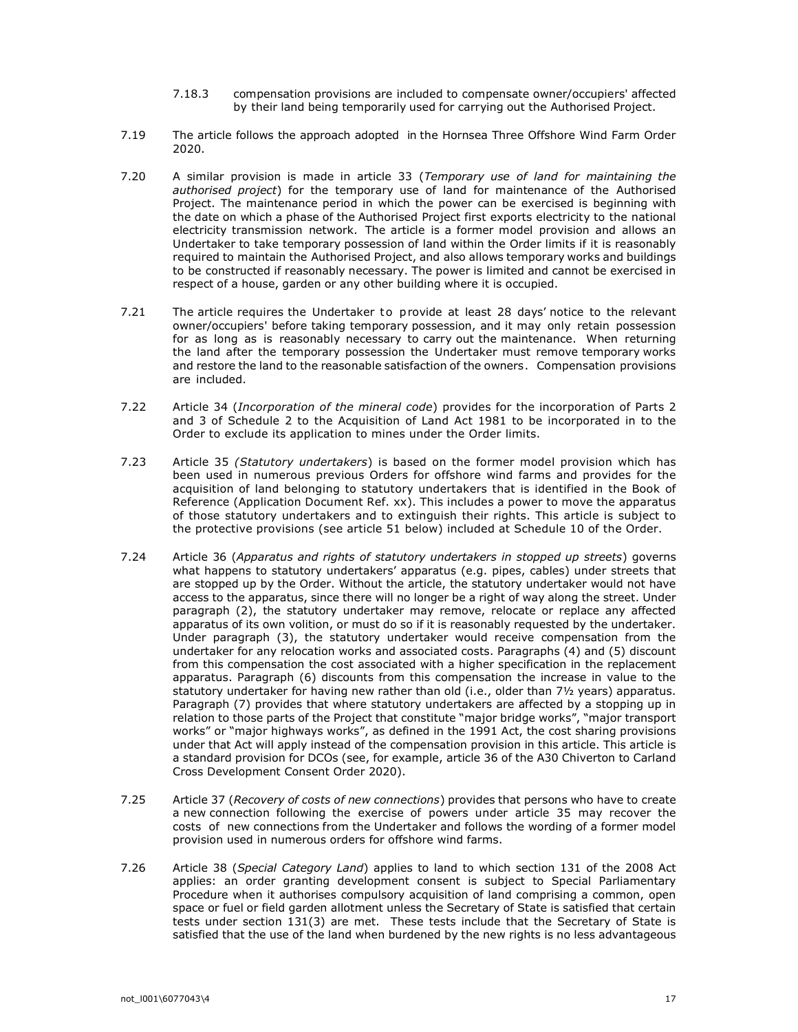- 7.18.3 compensation provisions are included to compensate owner/occupiers' affected by their land being temporarily used for carrying out the Authorised Project.
- 7.19 The article follows the approach adopted in the Hornsea Three Offshore Wind Farm Order 2020.
- 7.20 A similar provision is made in article 33 (Temporary use of land for maintaining the authorised project) for the temporary use of land for maintenance of the Authorised Project. The maintenance period in which the power can be exercised is beginning with the date on which a phase of the Authorised Project first exports electricity to the national electricity transmission network. The article is a former model provision and allows an Undertaker to take temporary possession of land within the Order limits if it is reasonably required to maintain the Authorised Project, and also allows temporary works and buildings to be constructed if reasonably necessary. The power is limited and cannot be exercised in respect of a house, garden or any other building where it is occupied.
- 7.21 The article requires the Undertaker to provide at least 28 days' notice to the relevant owner/occupiers' before taking temporary possession, and it may only retain possession for as long as is reasonably necessary to carry out the maintenance. When returning the land after the temporary possession the Undertaker must remove temporary works and restore the land to the reasonable satisfaction of the owners. Compensation provisions are included.
- 7.22 Article 34 (Incorporation of the mineral code) provides for the incorporation of Parts 2 and 3 of Schedule 2 to the Acquisition of Land Act 1981 to be incorporated in to the Order to exclude its application to mines under the Order limits.
- 7.23 Article 35 (Statutory undertakers) is based on the former model provision which has been used in numerous previous Orders for offshore wind farms and provides for the acquisition of land belonging to statutory undertakers that is identified in the Book of Reference (Application Document Ref. xx). This includes a power to move the apparatus of those statutory undertakers and to extinguish their rights. This article is subject to the protective provisions (see article 51 below) included at Schedule 10 of the Order.
- 7.24 Article 36 (Apparatus and rights of statutory undertakers in stopped up streets) governs what happens to statutory undertakers' apparatus (e.g. pipes, cables) under streets that are stopped up by the Order. Without the article, the statutory undertaker would not have access to the apparatus, since there will no longer be a right of way along the street. Under paragraph (2), the statutory undertaker may remove, relocate or replace any affected apparatus of its own volition, or must do so if it is reasonably requested by the undertaker. Under paragraph (3), the statutory undertaker would receive compensation from the undertaker for any relocation works and associated costs. Paragraphs (4) and (5) discount from this compensation the cost associated with a higher specification in the replacement apparatus. Paragraph (6) discounts from this compensation the increase in value to the statutory undertaker for having new rather than old (i.e., older than 7½ years) apparatus. Paragraph (7) provides that where statutory undertakers are affected by a stopping up in relation to those parts of the Project that constitute "major bridge works", "major transport works" or "major highways works", as defined in the 1991 Act, the cost sharing provisions under that Act will apply instead of the compensation provision in this article. This article is a standard provision for DCOs (see, for example, article 36 of the A30 Chiverton to Carland Cross Development Consent Order 2020).
- 7.25 Article 37 (Recovery of costs of new connections) provides that persons who have to create a new connection following the exercise of powers under article 35 may recover the costs of new connections from the Undertaker and follows the wording of a former model provision used in numerous orders for offshore wind farms.
- 7.26 Article 38 (Special Category Land) applies to land to which section 131 of the 2008 Act applies: an order granting development consent is subject to Special Parliamentary Procedure when it authorises compulsory acquisition of land comprising a common, open space or fuel or field garden allotment unless the Secretary of State is satisfied that certain tests under section 131(3) are met. These tests include that the Secretary of State is satisfied that the use of the land when burdened by the new rights is no less advantageous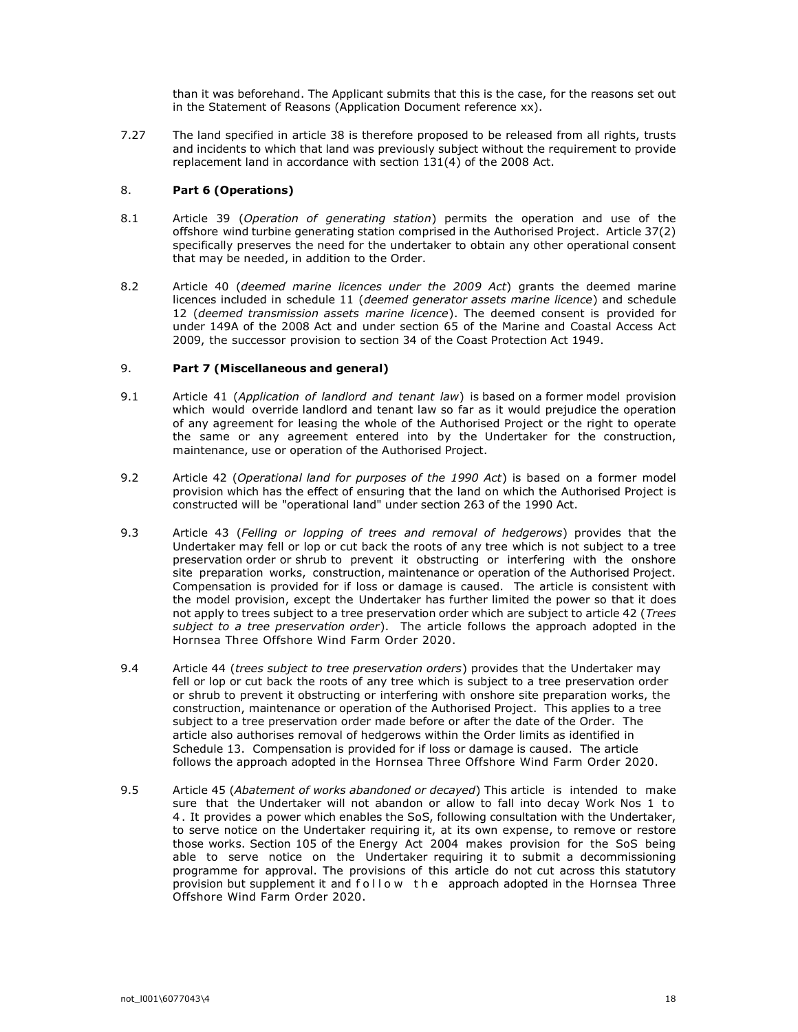than it was beforehand. The Applicant submits that this is the case, for the reasons set out in the Statement of Reasons (Application Document reference xx).

7.27 The land specified in article 38 is therefore proposed to be released from all rights, trusts and incidents to which that land was previously subject without the requirement to provide replacement land in accordance with section 131(4) of the 2008 Act.

## 8. Part 6 (Operations)

- 8.1 Article 39 (Operation of generating station) permits the operation and use of the offshore wind turbine generating station comprised in the Authorised Project. Article 37(2) specifically preserves the need for the undertaker to obtain any other operational consent that may be needed, in addition to the Order.
- 8.2 Article 40 (deemed marine licences under the 2009 Act) grants the deemed marine licences included in schedule 11 (deemed generator assets marine licence) and schedule 12 (deemed transmission assets marine licence). The deemed consent is provided for under 149A of the 2008 Act and under section 65 of the Marine and Coastal Access Act 2009, the successor provision to section 34 of the Coast Protection Act 1949.

### 9. Part 7 (Miscellaneous and general)

- 9.1 Article 41 (Application of landlord and tenant law) is based on a former model provision which would override landlord and tenant law so far as it would prejudice the operation of any agreement for leasing the whole of the Authorised Project or the right to operate the same or any agreement entered into by the Undertaker for the construction, maintenance, use or operation of the Authorised Project.
- 9.2 Article 42 (Operational land for purposes of the 1990 Act) is based on a former model provision which has the effect of ensuring that the land on which the Authorised Project is constructed will be "operational land" under section 263 of the 1990 Act.
- 9.3 Article 43 (Felling or lopping of trees and removal of hedgerows) provides that the Undertaker may fell or lop or cut back the roots of any tree which is not subject to a tree preservation order or shrub to prevent it obstructing or interfering with the onshore site preparation works, construction, maintenance or operation of the Authorised Project. Compensation is provided for if loss or damage is caused. The article is consistent with the model provision, except the Undertaker has further limited the power so that it does not apply to trees subject to a tree preservation order which are subject to article 42 (Trees subject to a tree preservation order). The article follows the approach adopted in the Hornsea Three Offshore Wind Farm Order 2020.
- 9.4 Article 44 (trees subject to tree preservation orders) provides that the Undertaker may fell or lop or cut back the roots of any tree which is subject to a tree preservation order or shrub to prevent it obstructing or interfering with onshore site preparation works, the construction, maintenance or operation of the Authorised Project. This applies to a tree subject to a tree preservation order made before or after the date of the Order. The article also authorises removal of hedgerows within the Order limits as identified in Schedule 13. Compensation is provided for if loss or damage is caused. The article follows the approach adopted in the Hornsea Three Offshore Wind Farm Order 2020.
- 9.5 Article 45 (Abatement of works abandoned or decayed) This article is intended to make sure that the Undertaker will not abandon or allow to fall into decay Work Nos 1 to 4 . It provides a power which enables the SoS, following consultation with the Undertaker, to serve notice on the Undertaker requiring it, at its own expense, to remove or restore those works. Section 105 of the Energy Act 2004 makes provision for the SoS being able to serve notice on the Undertaker requiring it to submit a decommissioning programme for approval. The provisions of this article do not cut across this statutory provision but supplement it and follow the approach adopted in the Hornsea Three Offshore Wind Farm Order 2020.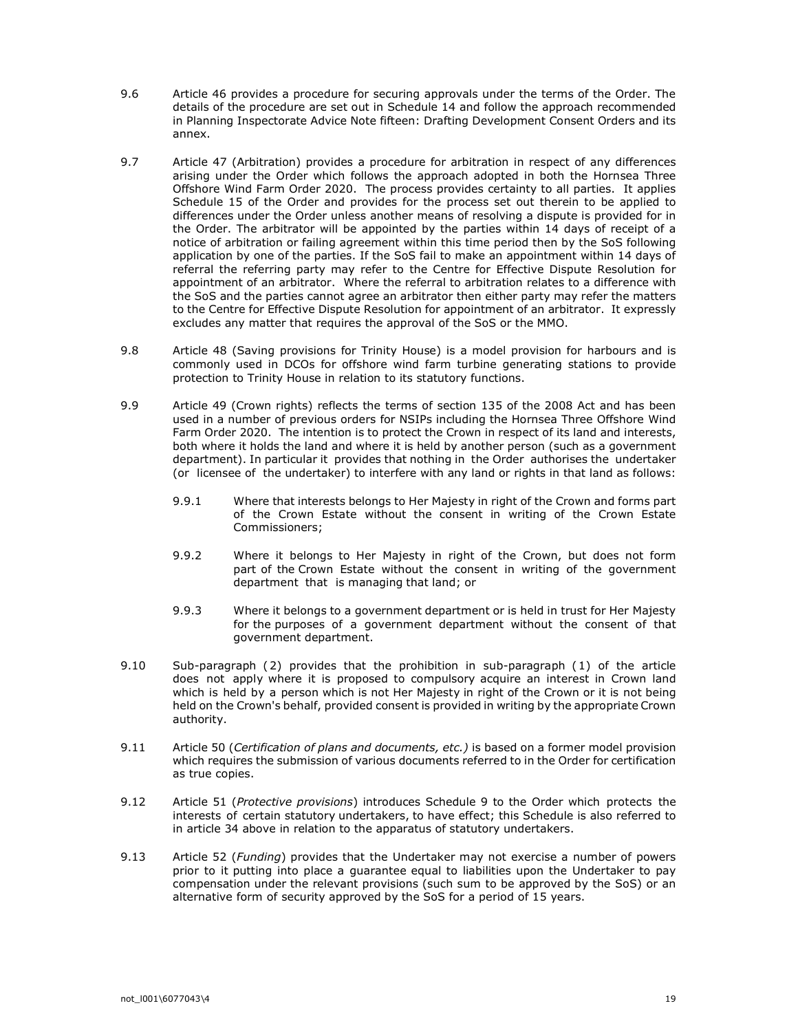- 9.6 Article 46 provides a procedure for securing approvals under the terms of the Order. The details of the procedure are set out in Schedule 14 and follow the approach recommended in Planning Inspectorate Advice Note fifteen: Drafting Development Consent Orders and its annex.
- 9.7 Article 47 (Arbitration) provides a procedure for arbitration in respect of any differences arising under the Order which follows the approach adopted in both the Hornsea Three Offshore Wind Farm Order 2020. The process provides certainty to all parties. It applies Schedule 15 of the Order and provides for the process set out therein to be applied to differences under the Order unless another means of resolving a dispute is provided for in the Order. The arbitrator will be appointed by the parties within 14 days of receipt of a notice of arbitration or failing agreement within this time period then by the SoS following application by one of the parties. If the SoS fail to make an appointment within 14 days of referral the referring party may refer to the Centre for Effective Dispute Resolution for appointment of an arbitrator. Where the referral to arbitration relates to a difference with the SoS and the parties cannot agree an arbitrator then either party may refer the matters to the Centre for Effective Dispute Resolution for appointment of an arbitrator. It expressly excludes any matter that requires the approval of the SoS or the MMO.
- 9.8 Article 48 (Saving provisions for Trinity House) is a model provision for harbours and is commonly used in DCOs for offshore wind farm turbine generating stations to provide protection to Trinity House in relation to its statutory functions.
- 9.9 Article 49 (Crown rights) reflects the terms of section 135 of the 2008 Act and has been used in a number of previous orders for NSIPs including the Hornsea Three Offshore Wind Farm Order 2020. The intention is to protect the Crown in respect of its land and interests, both where it holds the land and where it is held by another person (such as a government department). In particular it provides that nothing in the Order authorises the undertaker (or licensee of the undertaker) to interfere with any land or rights in that land as follows:
	- 9.9.1 Where that interests belongs to Her Majesty in right of the Crown and forms part of the Crown Estate without the consent in writing of the Crown Estate Commissioners;
	- 9.9.2 Where it belongs to Her Majesty in right of the Crown, but does not form part of the Crown Estate without the consent in writing of the government department that is managing that land; or
	- 9.9.3 Where it belongs to a government department or is held in trust for Her Majesty for the purposes of a government department without the consent of that government department.
- 9.10 Sub-paragraph ( 2) provides that the prohibition in sub-paragraph ( 1) of the article does not apply where it is proposed to compulsory acquire an interest in Crown land which is held by a person which is not Her Majesty in right of the Crown or it is not being held on the Crown's behalf, provided consent is provided in writing by the appropriate Crown authority.
- 9.11 Article 50 (Certification of plans and documents, etc.) is based on a former model provision which requires the submission of various documents referred to in the Order for certification as true copies.
- 9.12 Article 51 (Protective provisions) introduces Schedule 9 to the Order which protects the interests of certain statutory undertakers, to have effect; this Schedule is also referred to in article 34 above in relation to the apparatus of statutory undertakers.
- 9.13 Article 52 (Funding) provides that the Undertaker may not exercise a number of powers prior to it putting into place a guarantee equal to liabilities upon the Undertaker to pay compensation under the relevant provisions (such sum to be approved by the SoS) or an alternative form of security approved by the SoS for a period of 15 years.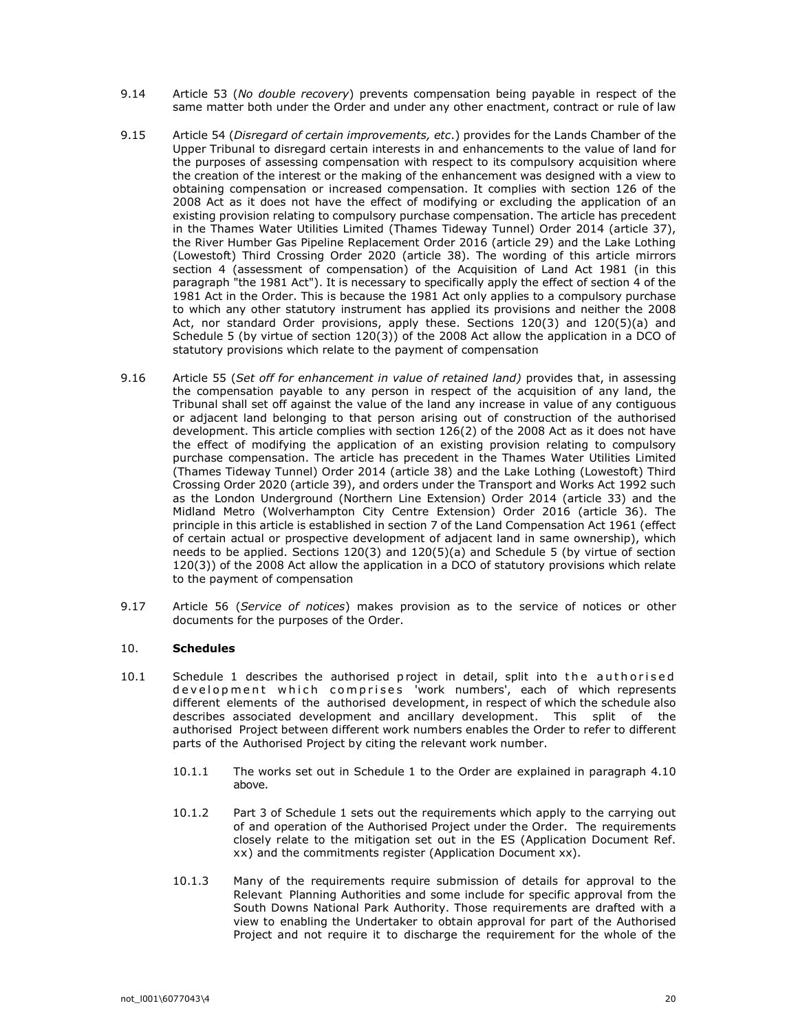- 9.14 Article 53 (No double recovery) prevents compensation being payable in respect of the same matter both under the Order and under any other enactment, contract or rule of law
- 9.15 Article 54 (Disregard of certain improvements, etc.) provides for the Lands Chamber of the Upper Tribunal to disregard certain interests in and enhancements to the value of land for the purposes of assessing compensation with respect to its compulsory acquisition where the creation of the interest or the making of the enhancement was designed with a view to obtaining compensation or increased compensation. It complies with section 126 of the 2008 Act as it does not have the effect of modifying or excluding the application of an existing provision relating to compulsory purchase compensation. The article has precedent in the Thames Water Utilities Limited (Thames Tideway Tunnel) Order 2014 (article 37), the River Humber Gas Pipeline Replacement Order 2016 (article 29) and the Lake Lothing (Lowestoft) Third Crossing Order 2020 (article 38). The wording of this article mirrors section 4 (assessment of compensation) of the Acquisition of Land Act 1981 (in this paragraph "the 1981 Act"). It is necessary to specifically apply the effect of section 4 of the 1981 Act in the Order. This is because the 1981 Act only applies to a compulsory purchase to which any other statutory instrument has applied its provisions and neither the 2008 Act, nor standard Order provisions, apply these. Sections 120(3) and 120(5)(a) and Schedule 5 (by virtue of section 120(3)) of the 2008 Act allow the application in a DCO of statutory provisions which relate to the payment of compensation
- 9.16 Article 55 (Set off for enhancement in value of retained land) provides that, in assessing the compensation payable to any person in respect of the acquisition of any land, the Tribunal shall set off against the value of the land any increase in value of any contiguous or adjacent land belonging to that person arising out of construction of the authorised development. This article complies with section 126(2) of the 2008 Act as it does not have the effect of modifying the application of an existing provision relating to compulsory purchase compensation. The article has precedent in the Thames Water Utilities Limited (Thames Tideway Tunnel) Order 2014 (article 38) and the Lake Lothing (Lowestoft) Third Crossing Order 2020 (article 39), and orders under the Transport and Works Act 1992 such as the London Underground (Northern Line Extension) Order 2014 (article 33) and the Midland Metro (Wolverhampton City Centre Extension) Order 2016 (article 36). The principle in this article is established in section 7 of the Land Compensation Act 1961 (effect of certain actual or prospective development of adjacent land in same ownership), which needs to be applied. Sections 120(3) and 120(5)(a) and Schedule 5 (by virtue of section 120(3)) of the 2008 Act allow the application in a DCO of statutory provisions which relate to the payment of compensation
- 9.17 Article 56 (Service of notices) makes provision as to the service of notices or other documents for the purposes of the Order.

## 10. Schedules

- 10.1 Schedule 1 describes the authorised project in detail, split into the authorised development which comprises work numbers', each of which represents different elements of the authorised development, in respect of which the schedule also describes associated development and ancillary development. This split of the authorised Project between different work numbers enables the Order to refer to different parts of the Authorised Project by citing the relevant work number.
	- 10.1.1 The works set out in Schedule 1 to the Order are explained in paragraph 4.10 above.
	- 10.1.2 Part 3 of Schedule 1 sets out the requirements which apply to the carrying out of and operation of the Authorised Project under the Order. The requirements closely relate to the mitigation set out in the ES (Application Document Ref. xx) and the commitments register (Application Document xx).
	- 10.1.3 Many of the requirements require submission of details for approval to the Relevant Planning Authorities and some include for specific approval from the South Downs National Park Authority. Those requirements are drafted with a view to enabling the Undertaker to obtain approval for part of the Authorised Project and not require it to discharge the requirement for the whole of the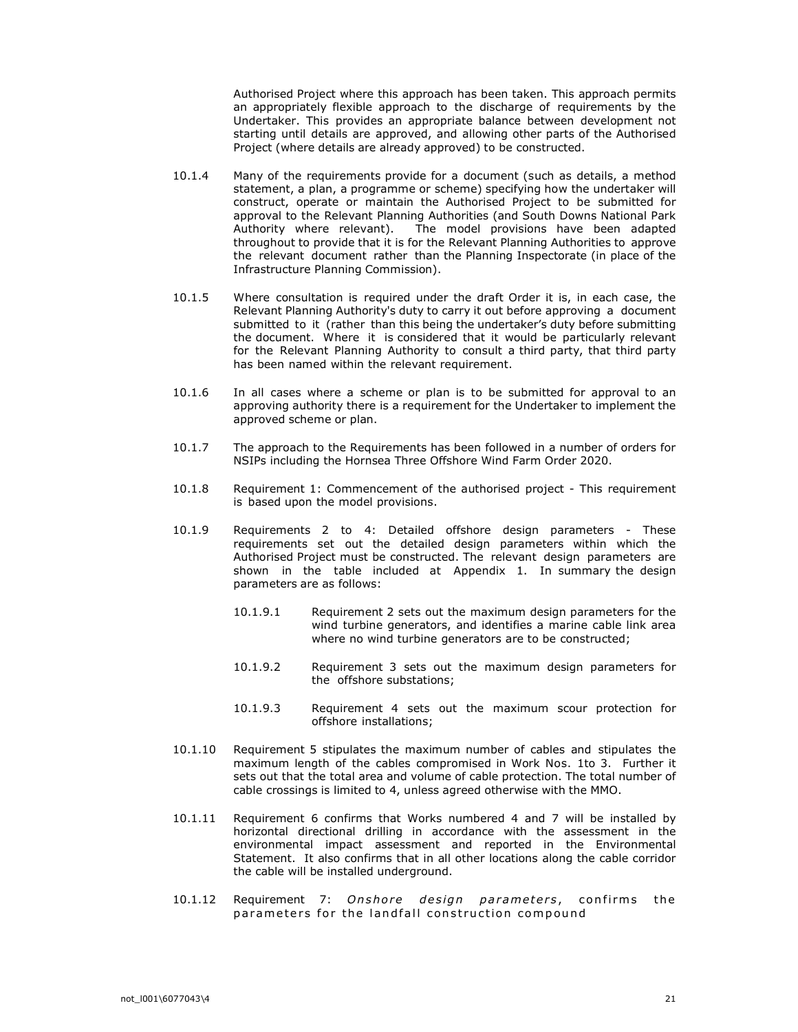Authorised Project where this approach has been taken. This approach permits an appropriately flexible approach to the discharge of requirements by the Undertaker. This provides an appropriate balance between development not starting until details are approved, and allowing other parts of the Authorised Project (where details are already approved) to be constructed.

- 10.1.4 Many of the requirements provide for a document (such as details, a method statement, a plan, a programme or scheme) specifying how the undertaker will construct, operate or maintain the Authorised Project to be submitted for approval to the Relevant Planning Authorities (and South Downs National Park Authority where relevant). The model provisions have been adapted throughout to provide that it is for the Relevant Planning Authorities to approve the relevant document rather than the Planning Inspectorate (in place of the Infrastructure Planning Commission).
- 10.1.5 Where consultation is required under the draft Order it is, in each case, the Relevant Planning Authority's duty to carry it out before approving a document submitted to it (rather than this being the undertaker's duty before submitting the document. Where it is considered that it would be particularly relevant for the Relevant Planning Authority to consult a third party, that third party has been named within the relevant requirement.
- 10.1.6 In all cases where a scheme or plan is to be submitted for approval to an approving authority there is a requirement for the Undertaker to implement the approved scheme or plan.
- 10.1.7 The approach to the Requirements has been followed in a number of orders for NSIPs including the Hornsea Three Offshore Wind Farm Order 2020.
- 10.1.8 Requirement 1: Commencement of the authorised project This requirement is based upon the model provisions.
- 10.1.9 Requirements 2 to 4: Detailed offshore design parameters These requirements set out the detailed design parameters within which the Authorised Project must be constructed. The relevant design parameters are shown in the table included at Appendix 1. In summary the design parameters are as follows:
	- 10.1.9.1 Requirement 2 sets out the maximum design parameters for the wind turbine generators, and identifies a marine cable link area where no wind turbine generators are to be constructed;
	- 10.1.9.2 Requirement 3 sets out the maximum design parameters for the offshore substations;
	- 10.1.9.3 Requirement 4 sets out the maximum scour protection for offshore installations;
- 10.1.10 Requirement 5 stipulates the maximum number of cables and stipulates the maximum length of the cables compromised in Work Nos. 1to 3. Further it sets out that the total area and volume of cable protection. The total number of cable crossings is limited to 4, unless agreed otherwise with the MMO.
- 10.1.11 Requirement 6 confirms that Works numbered 4 and 7 will be installed by horizontal directional drilling in accordance with the assessment in the environmental impact assessment and reported in the Environmental Statement. It also confirms that in all other locations along the cable corridor the cable will be installed underground.
- 10.1.12 Requirement 7: Onshore design parameters, confirms the parameters for the landfall construction compound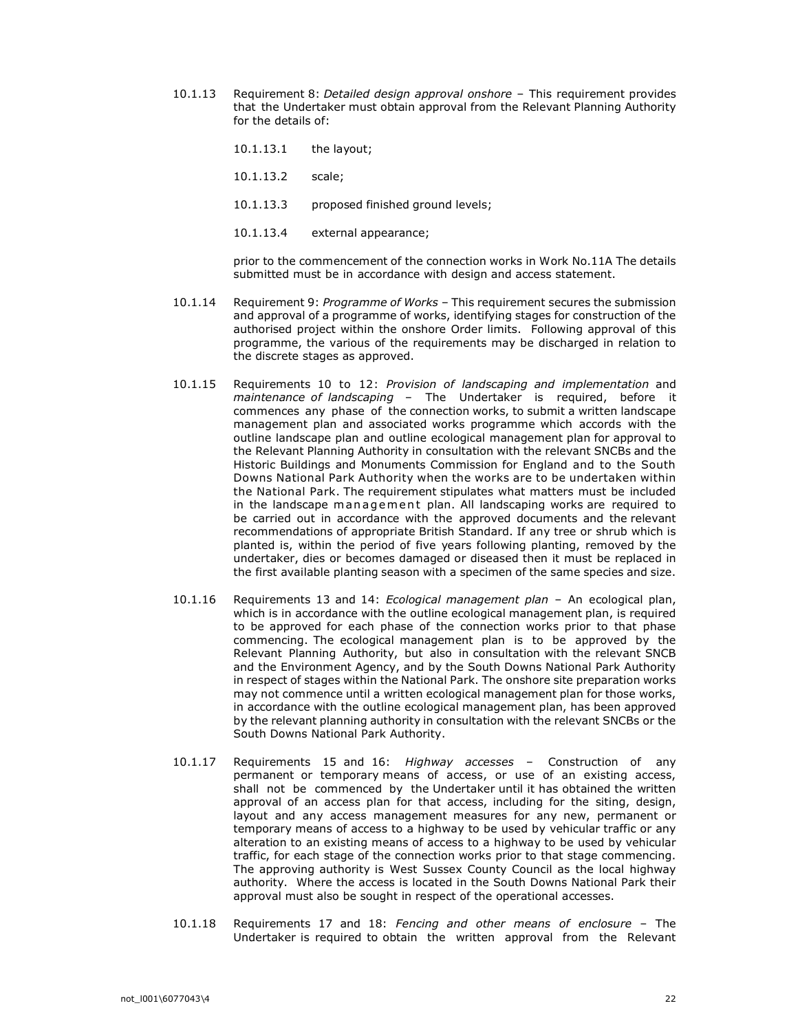- 10.1.13 Requirement 8: Detailed design approval onshore This requirement provides that the Undertaker must obtain approval from the Relevant Planning Authority for the details of:
	- 10.1.13.1 the layout;
	- 10.1.13.2 scale;
	- 10.1.13.3 proposed finished ground levels;
	- 10.1.13.4 external appearance;

prior to the commencement of the connection works in Work No.11A The details submitted must be in accordance with design and access statement.

- 10.1.14 Requirement 9: Programme of Works This requirement secures the submission and approval of a programme of works, identifying stages for construction of the authorised project within the onshore Order limits. Following approval of this programme, the various of the requirements may be discharged in relation to the discrete stages as approved.
- 10.1.15 Requirements 10 to 12: Provision of landscaping and implementation and maintenance of landscaping - The Undertaker is required, before it commences any phase of the connection works, to submit a written landscape management plan and associated works programme which accords with the outline landscape plan and outline ecological management plan for approval to the Relevant Planning Authority in consultation with the relevant SNCBs and the Historic Buildings and Monuments Commission for England and to the South Downs National Park Authority when the works are to be undertaken within the National Park. The requirement stipulates what matters must be included in the landscape management plan. All landscaping works are required to be carried out in accordance with the approved documents and the relevant recommendations of appropriate British Standard. If any tree or shrub which is planted is, within the period of five years following planting, removed by the undertaker, dies or becomes damaged or diseased then it must be replaced in the first available planting season with a specimen of the same species and size.
- 10.1.16 Requirements 13 and 14: *Ecological management plan –* An ecological plan, which is in accordance with the outline ecological management plan, is required to be approved for each phase of the connection works prior to that phase commencing. The ecological management plan is to be approved by the Relevant Planning Authority, but also in consultation with the relevant SNCB and the Environment Agency, and by the South Downs National Park Authority in respect of stages within the National Park. The onshore site preparation works may not commence until a written ecological management plan for those works, in accordance with the outline ecological management plan, has been approved by the relevant planning authority in consultation with the relevant SNCBs or the South Downs National Park Authority.
- 10.1.17 Requirements 15 and 16: Highway accesses Construction of any permanent or temporary means of access, or use of an existing access, shall not be commenced by the Undertaker until it has obtained the written approval of an access plan for that access, including for the siting, design, layout and any access management measures for any new, permanent or temporary means of access to a highway to be used by vehicular traffic or any alteration to an existing means of access to a highway to be used by vehicular traffic, for each stage of the connection works prior to that stage commencing. The approving authority is West Sussex County Council as the local highway authority. Where the access is located in the South Downs National Park their approval must also be sought in respect of the operational accesses.
- 10.1.18 Requirements 17 and 18: Fencing and other means of enclosure The Undertaker is required to obtain the written approval from the Relevant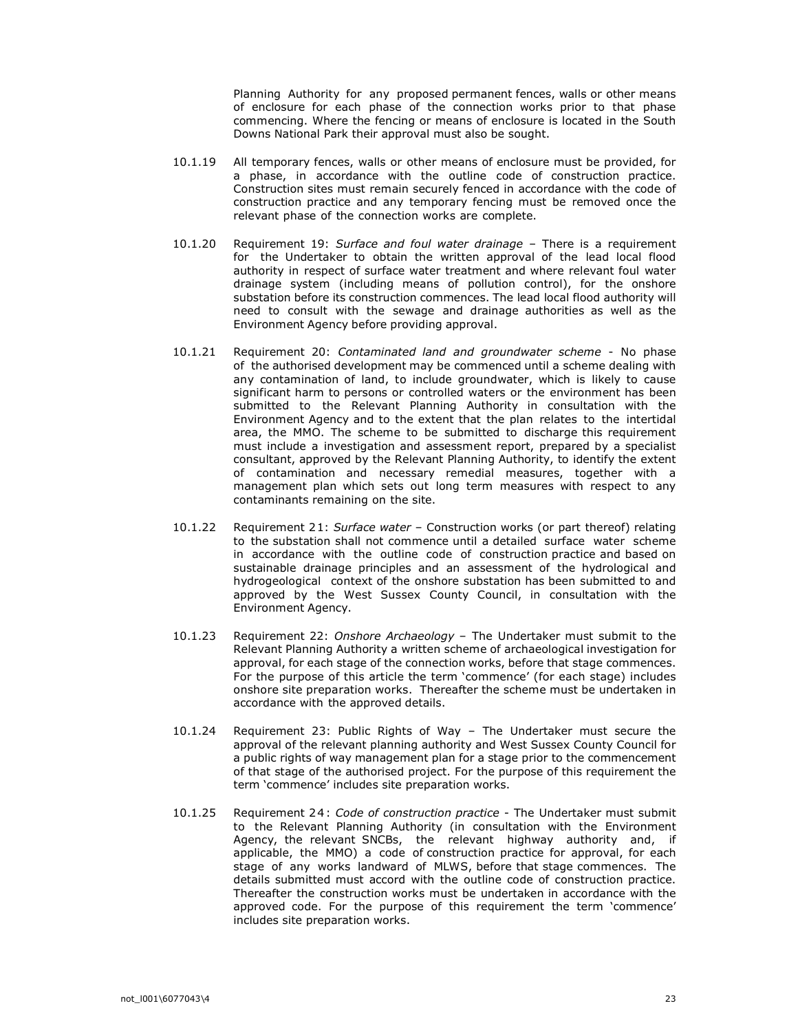Planning Authority for any proposed permanent fences, walls or other means of enclosure for each phase of the connection works prior to that phase commencing. Where the fencing or means of enclosure is located in the South Downs National Park their approval must also be sought.

- 10.1.19 All temporary fences, walls or other means of enclosure must be provided, for a phase, in accordance with the outline code of construction practice. Construction sites must remain securely fenced in accordance with the code of construction practice and any temporary fencing must be removed once the relevant phase of the connection works are complete.
- 10.1.20 Requirement 19: Surface and foul water drainage There is a requirement for the Undertaker to obtain the written approval of the lead local flood authority in respect of surface water treatment and where relevant foul water drainage system (including means of pollution control), for the onshore substation before its construction commences. The lead local flood authority will need to consult with the sewage and drainage authorities as well as the Environment Agency before providing approval.
- 10.1.21 Requirement 20: Contaminated land and groundwater scheme No phase of the authorised development may be commenced until a scheme dealing with any contamination of land, to include groundwater, which is likely to cause significant harm to persons or controlled waters or the environment has been submitted to the Relevant Planning Authority in consultation with the Environment Agency and to the extent that the plan relates to the intertidal area, the MMO. The scheme to be submitted to discharge this requirement must include a investigation and assessment report, prepared by a specialist consultant, approved by the Relevant Planning Authority, to identify the extent of contamination and necessary remedial measures, together with a management plan which sets out long term measures with respect to any contaminants remaining on the site.
- 10.1.22 Requirement 21: Surface water Construction works (or part thereof) relating to the substation shall not commence until a detailed surface water scheme in accordance with the outline code of construction practice and based on sustainable drainage principles and an assessment of the hydrological and hydrogeological context of the onshore substation has been submitted to and approved by the West Sussex County Council, in consultation with the Environment Agency.
- 10.1.23 Requirement 22: Onshore Archaeology The Undertaker must submit to the Relevant Planning Authority a written scheme of archaeological investigation for approval, for each stage of the connection works, before that stage commences. For the purpose of this article the term 'commence' (for each stage) includes onshore site preparation works. Thereafter the scheme must be undertaken in accordance with the approved details.
- 10.1.24 Requirement 23: Public Rights of Way The Undertaker must secure the approval of the relevant planning authority and West Sussex County Council for a public rights of way management plan for a stage prior to the commencement of that stage of the authorised project. For the purpose of this requirement the term 'commence' includes site preparation works.
- 10.1.25 Requirement 24: Code of construction practice The Undertaker must submit to the Relevant Planning Authority (in consultation with the Environment Agency, the relevant SNCBs, the relevant highway authority and, if applicable, the MMO) a code of construction practice for approval, for each stage of any works landward of MLWS, before that stage commences. The details submitted must accord with the outline code of construction practice. Thereafter the construction works must be undertaken in accordance with the approved code. For the purpose of this requirement the term 'commence' includes site preparation works.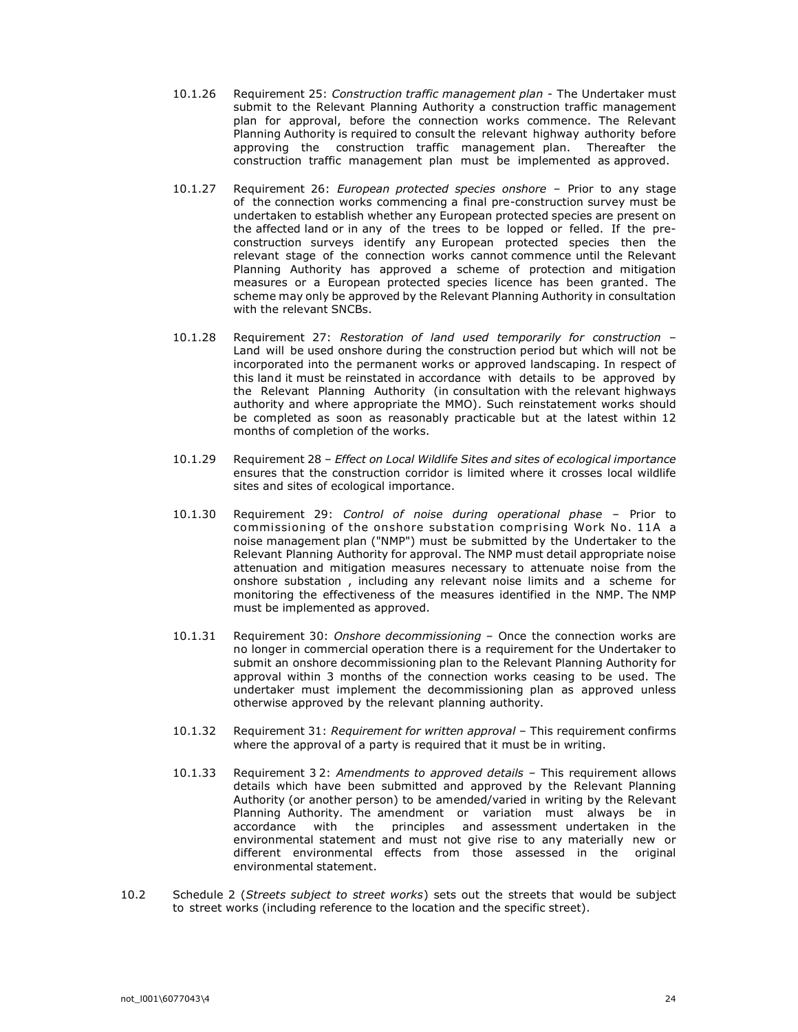- 10.1.26 Requirement 25: Construction traffic management plan The Undertaker must submit to the Relevant Planning Authority a construction traffic management plan for approval, before the connection works commence. The Relevant Planning Authority is required to consult the relevant highway authority before approving the construction traffic management plan. Thereafter the construction traffic management plan must be implemented as approved.
- 10.1.27 Requirement 26: European protected species onshore Prior to any stage of the connection works commencing a final pre-construction survey must be undertaken to establish whether any European protected species are present on the affected land or in any of the trees to be lopped or felled. If the preconstruction surveys identify any European protected species then the relevant stage of the connection works cannot commence until the Relevant Planning Authority has approved a scheme of protection and mitigation measures or a European protected species licence has been granted. The scheme may only be approved by the Relevant Planning Authority in consultation with the relevant SNCBs.
- 10.1.28 Requirement 27: Restoration of land used temporarily for construction Land will be used onshore during the construction period but which will not be incorporated into the permanent works or approved landscaping. In respect of this land it must be reinstated in accordance with details to be approved by the Relevant Planning Authority (in consultation with the relevant highways authority and where appropriate the MMO). Such reinstatement works should be completed as soon as reasonably practicable but at the latest within 12 months of completion of the works.
- 10.1.29 Requirement 28 Effect on Local Wildlife Sites and sites of ecological importance ensures that the construction corridor is limited where it crosses local wildlife sites and sites of ecological importance.
- 10.1.30 Requirement 29: Control of noise during operational phase Prior to commissioning of the onshore substation comprising Work No. 11A a noise management plan ("NMP") must be submitted by the Undertaker to the Relevant Planning Authority for approval. The NMP must detail appropriate noise attenuation and mitigation measures necessary to attenuate noise from the onshore substation , including any relevant noise limits and a scheme for monitoring the effectiveness of the measures identified in the NMP. The NMP must be implemented as approved.
- 10.1.31 Requirement 30: Onshore decommissioning Once the connection works are no longer in commercial operation there is a requirement for the Undertaker to submit an onshore decommissioning plan to the Relevant Planning Authority for approval within 3 months of the connection works ceasing to be used. The undertaker must implement the decommissioning plan as approved unless otherwise approved by the relevant planning authority.
- 10.1.32 Requirement 31: Requirement for written approval This requirement confirms where the approval of a party is required that it must be in writing.
- 10.1.33 Requirement 32: Amendments to approved details This requirement allows details which have been submitted and approved by the Relevant Planning Authority (or another person) to be amended/varied in writing by the Relevant Planning Authority. The amendment or variation must always be in accordance with the principles and assessment undertaken in the environmental statement and must not give rise to any materially new or different environmental effects from those assessed in the original environmental statement.
- 10.2 Schedule 2 (Streets subject to street works) sets out the streets that would be subject to street works (including reference to the location and the specific street).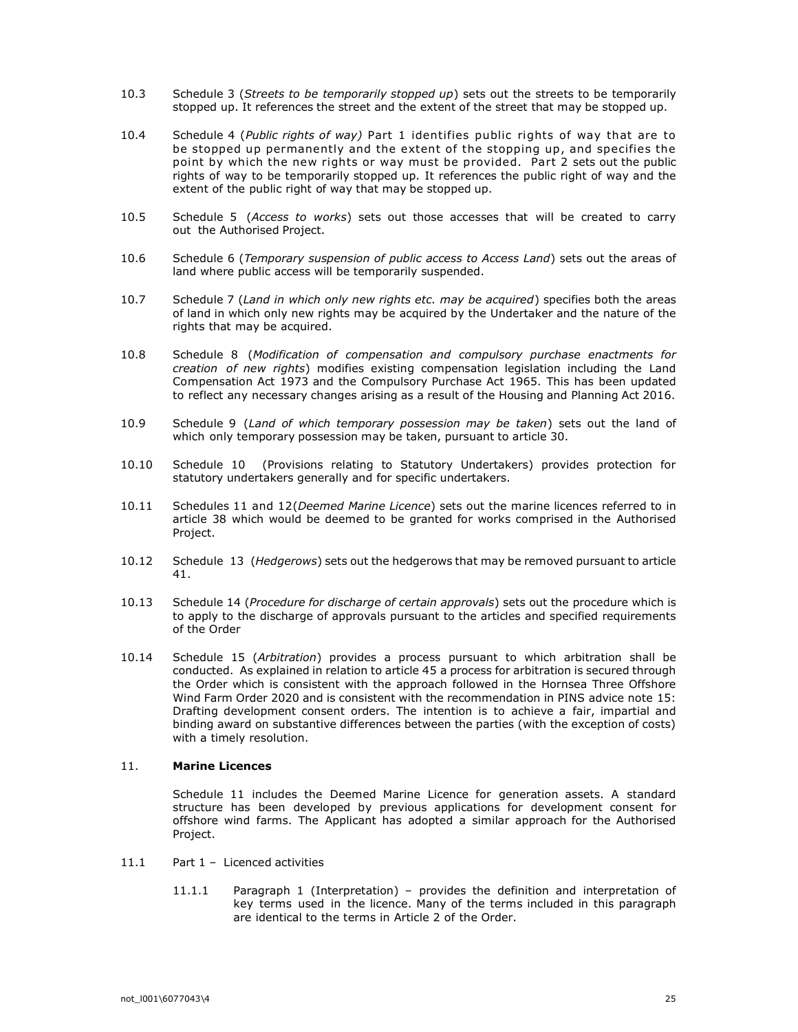- 10.3 Schedule 3 (Streets to be temporarily stopped up) sets out the streets to be temporarily stopped up. It references the street and the extent of the street that may be stopped up.
- 10.4 Schedule 4 (Public rights of way) Part 1 identifies public rights of way that are to be stopped up permanently and the extent of the stopping up, and specifies the point by which the new rights or way must be provided. Part 2 sets out the public rights of way to be temporarily stopped up. It references the public right of way and the extent of the public right of way that may be stopped up.
- 10.5 Schedule 5 (Access to works) sets out those accesses that will be created to carry out the Authorised Project.
- 10.6 Schedule 6 (Temporary suspension of public access to Access Land) sets out the areas of land where public access will be temporarily suspended.
- 10.7 Schedule 7 (Land in which only new rights etc. may be acquired) specifies both the areas of land in which only new rights may be acquired by the Undertaker and the nature of the rights that may be acquired.
- 10.8 Schedule 8 (Modification of compensation and compulsory purchase enactments for creation of new rights) modifies existing compensation legislation including the Land Compensation Act 1973 and the Compulsory Purchase Act 1965. This has been updated to reflect any necessary changes arising as a result of the Housing and Planning Act 2016.
- 10.9 Schedule 9 (Land of which temporary possession may be taken) sets out the land of which only temporary possession may be taken, pursuant to article 30.
- 10.10 Schedule 10 (Provisions relating to Statutory Undertakers) provides protection for statutory undertakers generally and for specific undertakers.
- 10.11 Schedules 11 and 12(Deemed Marine Licence) sets out the marine licences referred to in article 38 which would be deemed to be granted for works comprised in the Authorised Project.
- 10.12 Schedule 13 (*Hedgerows*) sets out the hedgerows that may be removed pursuant to article 41.
- 10.13 Schedule 14 (Procedure for discharge of certain approvals) sets out the procedure which is to apply to the discharge of approvals pursuant to the articles and specified requirements of the Order
- 10.14 Schedule 15 (Arbitration) provides a process pursuant to which arbitration shall be conducted. As explained in relation to article 45 a process for arbitration is secured through the Order which is consistent with the approach followed in the Hornsea Three Offshore Wind Farm Order 2020 and is consistent with the recommendation in PINS advice note 15: Drafting development consent orders. The intention is to achieve a fair, impartial and binding award on substantive differences between the parties (with the exception of costs) with a timely resolution.

### 11. Marine Licences

Schedule 11 includes the Deemed Marine Licence for generation assets. A standard structure has been developed by previous applications for development consent for offshore wind farms. The Applicant has adopted a similar approach for the Authorised Project.

- 11.1 Part 1 Licenced activities
	- 11.1.1 Paragraph 1 (Interpretation) provides the definition and interpretation of key terms used in the licence. Many of the terms included in this paragraph are identical to the terms in Article 2 of the Order.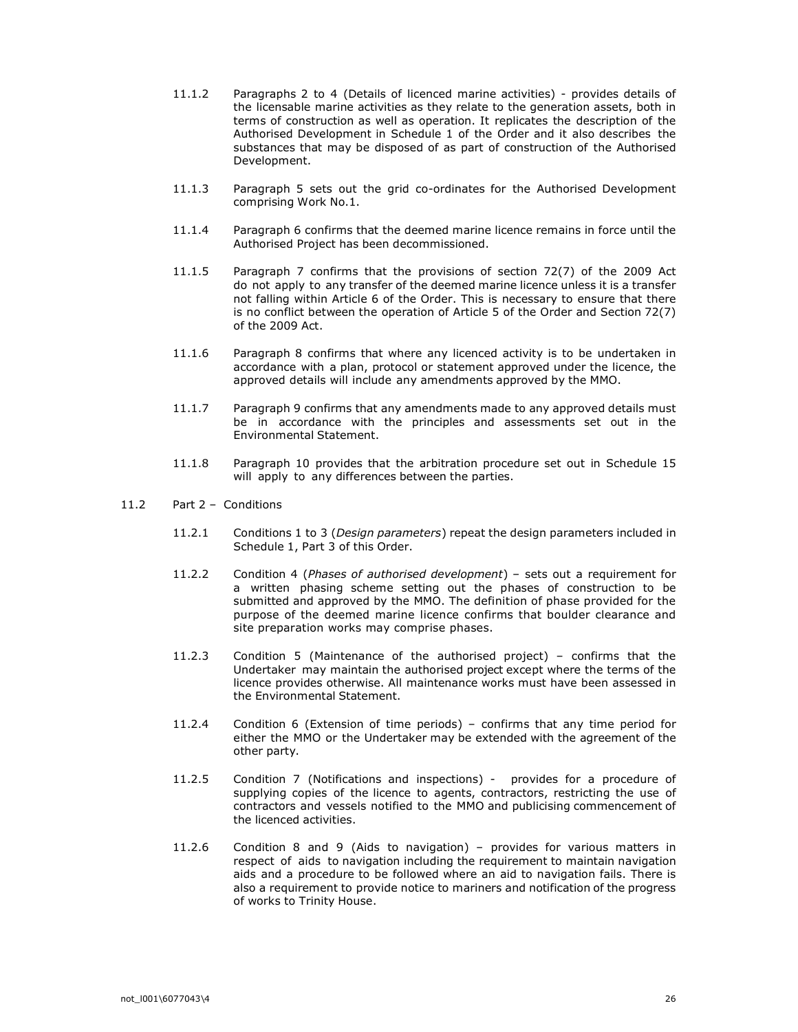- 11.1.2 Paragraphs 2 to 4 (Details of licenced marine activities) provides details of the licensable marine activities as they relate to the generation assets, both in terms of construction as well as operation. It replicates the description of the Authorised Development in Schedule 1 of the Order and it also describes the substances that may be disposed of as part of construction of the Authorised Development.
- 11.1.3 Paragraph 5 sets out the grid co-ordinates for the Authorised Development comprising Work No.1.
- 11.1.4 Paragraph 6 confirms that the deemed marine licence remains in force until the Authorised Project has been decommissioned.
- 11.1.5 Paragraph 7 confirms that the provisions of section 72(7) of the 2009 Act do not apply to any transfer of the deemed marine licence unless it is a transfer not falling within Article 6 of the Order. This is necessary to ensure that there is no conflict between the operation of Article 5 of the Order and Section 72(7) of the 2009 Act.
- 11.1.6 Paragraph 8 confirms that where any licenced activity is to be undertaken in accordance with a plan, protocol or statement approved under the licence, the approved details will include any amendments approved by the MMO.
- 11.1.7 Paragraph 9 confirms that any amendments made to any approved details must be in accordance with the principles and assessments set out in the Environmental Statement.
- 11.1.8 Paragraph 10 provides that the arbitration procedure set out in Schedule 15 will apply to any differences between the parties.
- 11.2 Part 2 Conditions
	- 11.2.1 Conditions 1 to 3 (Design parameters) repeat the design parameters included in Schedule 1, Part 3 of this Order.
	- 11.2.2 Condition 4 (Phases of authorised development) sets out a requirement for a written phasing scheme setting out the phases of construction to be submitted and approved by the MMO. The definition of phase provided for the purpose of the deemed marine licence confirms that boulder clearance and site preparation works may comprise phases.
	- 11.2.3 Condition 5 (Maintenance of the authorised project) confirms that the Undertaker may maintain the authorised project except where the terms of the licence provides otherwise. All maintenance works must have been assessed in the Environmental Statement.
	- 11.2.4 Condition 6 (Extension of time periods) confirms that any time period for either the MMO or the Undertaker may be extended with the agreement of the other party.
	- 11.2.5 Condition 7 (Notifications and inspections) provides for a procedure of supplying copies of the licence to agents, contractors, restricting the use of contractors and vessels notified to the MMO and publicising commencement of the licenced activities.
	- 11.2.6 Condition 8 and 9 (Aids to navigation) provides for various matters in respect of aids to navigation including the requirement to maintain navigation aids and a procedure to be followed where an aid to navigation fails. There is also a requirement to provide notice to mariners and notification of the progress of works to Trinity House.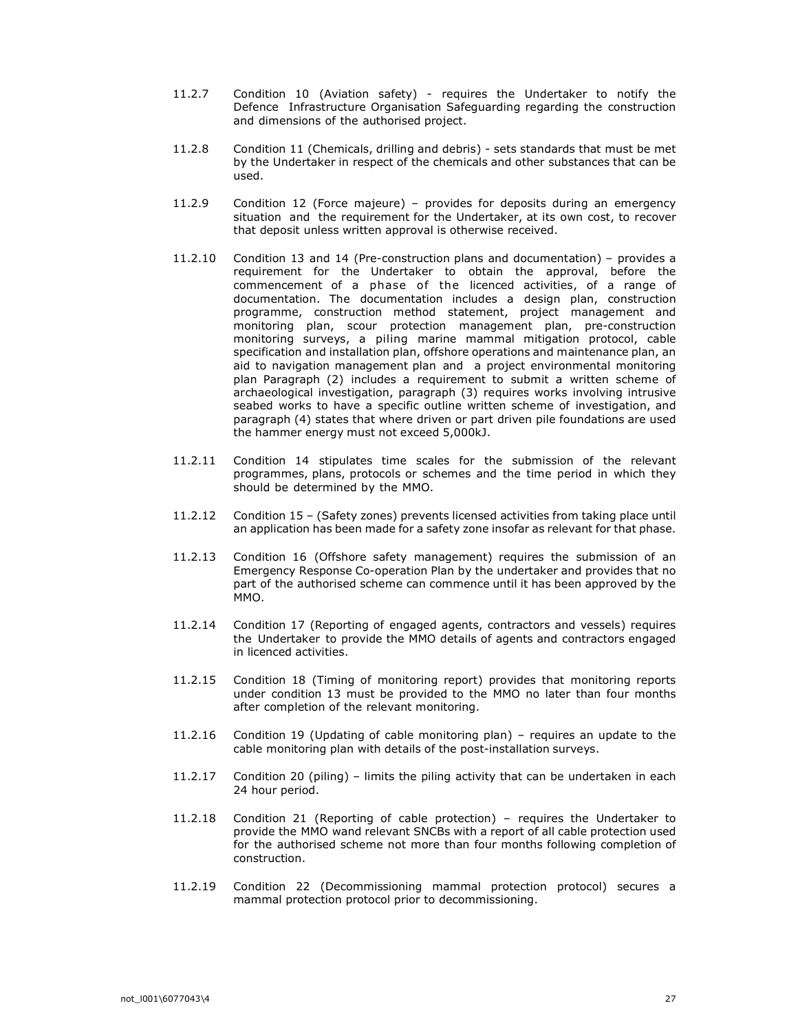- 11.2.7 Condition 10 (Aviation safety) requires the Undertaker to notify the Defence Infrastructure Organisation Safeguarding regarding the construction and dimensions of the authorised project.
- 11.2.8 Condition 11 (Chemicals, drilling and debris) sets standards that must be met by the Undertaker in respect of the chemicals and other substances that can be used.
- 11.2.9 Condition 12 (Force majeure) provides for deposits during an emergency situation and the requirement for the Undertaker, at its own cost, to recover that deposit unless written approval is otherwise received.
- 11.2.10 Condition 13 and 14 (Pre-construction plans and documentation) provides a requirement for the Undertaker to obtain the approval, before the commencement of a phase of the licenced activities, of a range of documentation. The documentation includes a design plan, construction programme, construction method statement, project management and monitoring plan, scour protection management plan, pre-construction monitoring surveys, a piling marine mammal mitigation protocol, cable specification and installation plan, offshore operations and maintenance plan, an aid to navigation management plan and a project environmental monitoring plan Paragraph (2) includes a requirement to submit a written scheme of archaeological investigation, paragraph (3) requires works involving intrusive seabed works to have a specific outline written scheme of investigation, and paragraph (4) states that where driven or part driven pile foundations are used the hammer energy must not exceed 5,000kJ.
- 11.2.11 Condition 14 stipulates time scales for the submission of the relevant programmes, plans, protocols or schemes and the time period in which they should be determined by the MMO.
- 11.2.12 Condition 15 (Safety zones) prevents licensed activities from taking place until an application has been made for a safety zone insofar as relevant for that phase.
- 11.2.13 Condition 16 (Offshore safety management) requires the submission of an Emergency Response Co-operation Plan by the undertaker and provides that no part of the authorised scheme can commence until it has been approved by the MMO.
- 11.2.14 Condition 17 (Reporting of engaged agents, contractors and vessels) requires the Undertaker to provide the MMO details of agents and contractors engaged in licenced activities.
- 11.2.15 Condition 18 (Timing of monitoring report) provides that monitoring reports under condition 13 must be provided to the MMO no later than four months after completion of the relevant monitoring.
- 11.2.16 Condition 19 (Updating of cable monitoring plan) requires an update to the cable monitoring plan with details of the post-installation surveys.
- 11.2.17 Condition 20 (piling) limits the piling activity that can be undertaken in each 24 hour period.
- 11.2.18 Condition 21 (Reporting of cable protection) requires the Undertaker to provide the MMO wand relevant SNCBs with a report of all cable protection used for the authorised scheme not more than four months following completion of construction.
- 11.2.19 Condition 22 (Decommissioning mammal protection protocol) secures a mammal protection protocol prior to decommissioning.